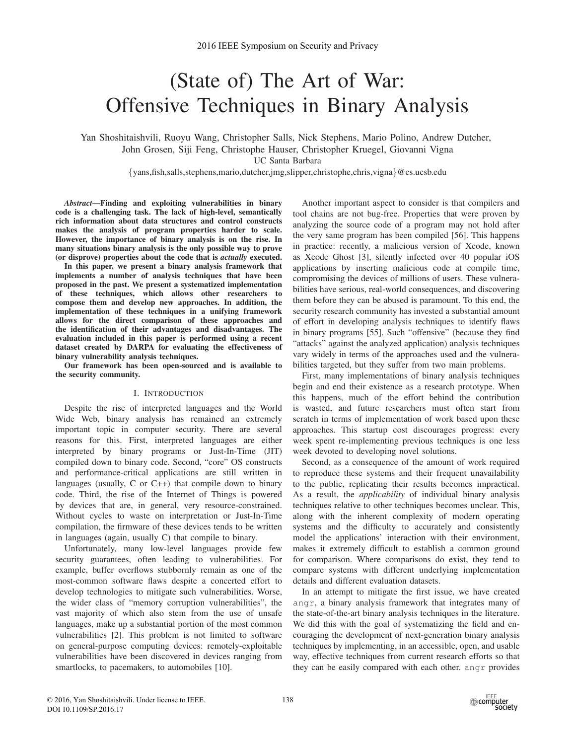# (State of) The Art of War: Offensive Techniques in Binary Analysis

Yan Shoshitaishvili, Ruoyu Wang, Christopher Salls, Nick Stephens, Mario Polino, Andrew Dutcher, John Grosen, Siji Feng, Christophe Hauser, Christopher Kruegel, Giovanni Vigna UC Santa Barbara

{yans,fish,salls,stephens,mario,dutcher,jmg,slipper,christophe,chris,vigna}@cs.ucsb.edu

*Abstract*—Finding and exploiting vulnerabilities in binary code is a challenging task. The lack of high-level, semantically rich information about data structures and control constructs makes the analysis of program properties harder to scale. However, the importance of binary analysis is on the rise. In many situations binary analysis is the only possible way to prove (or disprove) properties about the code that is *actually* executed.

In this paper, we present a binary analysis framework that implements a number of analysis techniques that have been proposed in the past. We present a systematized implementation of these techniques, which allows other researchers to compose them and develop new approaches. In addition, the implementation of these techniques in a unifying framework allows for the direct comparison of these approaches and the identification of their advantages and disadvantages. The evaluation included in this paper is performed using a recent dataset created by DARPA for evaluating the effectiveness of binary vulnerability analysis techniques.

Our framework has been open-sourced and is available to the security community.

# I. INTRODUCTION

Despite the rise of interpreted languages and the World Wide Web, binary analysis has remained an extremely important topic in computer security. There are several reasons for this. First, interpreted languages are either interpreted by binary programs or Just-In-Time (JIT) compiled down to binary code. Second, "core" OS constructs and performance-critical applications are still written in languages (usually,  $C$  or  $C++$ ) that compile down to binary code. Third, the rise of the Internet of Things is powered by devices that are, in general, very resource-constrained. Without cycles to waste on interpretation or Just-In-Time compilation, the firmware of these devices tends to be written in languages (again, usually C) that compile to binary.

Unfortunately, many low-level languages provide few security guarantees, often leading to vulnerabilities. For example, buffer overflows stubbornly remain as one of the most-common software flaws despite a concerted effort to develop technologies to mitigate such vulnerabilities. Worse, the wider class of "memory corruption vulnerabilities", the vast majority of which also stem from the use of unsafe languages, make up a substantial portion of the most common vulnerabilities [2]. This problem is not limited to software on general-purpose computing devices: remotely-exploitable vulnerabilities have been discovered in devices ranging from smartlocks, to pacemakers, to automobiles [10].

Another important aspect to consider is that compilers and tool chains are not bug-free. Properties that were proven by analyzing the source code of a program may not hold after the very same program has been compiled [56]. This happens in practice: recently, a malicious version of Xcode, known as Xcode Ghost [3], silently infected over 40 popular iOS applications by inserting malicious code at compile time, compromising the devices of millions of users. These vulnerabilities have serious, real-world consequences, and discovering them before they can be abused is paramount. To this end, the security research community has invested a substantial amount of effort in developing analysis techniques to identify flaws in binary programs [55]. Such "offensive" (because they find "attacks" against the analyzed application) analysis techniques vary widely in terms of the approaches used and the vulnerabilities targeted, but they suffer from two main problems.

First, many implementations of binary analysis techniques begin and end their existence as a research prototype. When this happens, much of the effort behind the contribution is wasted, and future researchers must often start from scratch in terms of implementation of work based upon these approaches. This startup cost discourages progress: every week spent re-implementing previous techniques is one less week devoted to developing novel solutions.

Second, as a consequence of the amount of work required to reproduce these systems and their frequent unavailability to the public, replicating their results becomes impractical. As a result, the *applicability* of individual binary analysis techniques relative to other techniques becomes unclear. This, along with the inherent complexity of modern operating systems and the difficulty to accurately and consistently model the applications' interaction with their environment, makes it extremely difficult to establish a common ground for comparison. Where comparisons do exist, they tend to compare systems with different underlying implementation details and different evaluation datasets.

In an attempt to mitigate the first issue, we have created angr, a binary analysis framework that integrates many of the state-of-the-art binary analysis techniques in the literature. We did this with the goal of systematizing the field and encouraging the development of next-generation binary analysis techniques by implementing, in an accessible, open, and usable way, effective techniques from current research efforts so that they can be easily compared with each other. angr provides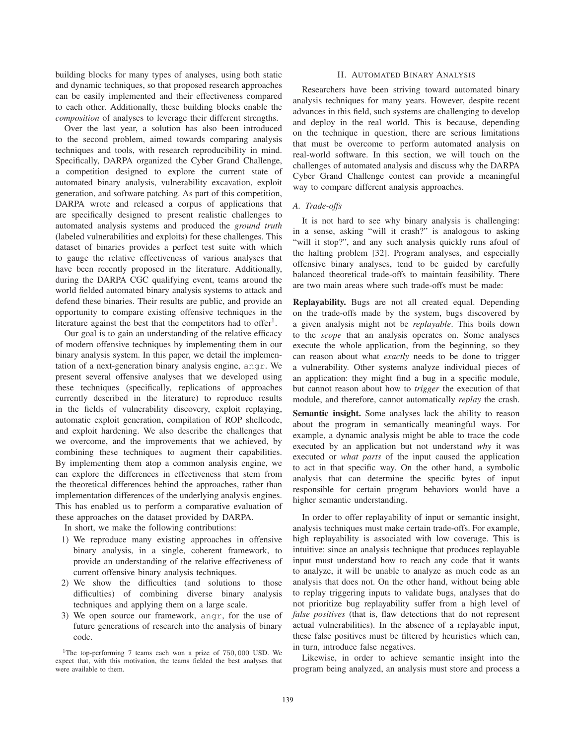building blocks for many types of analyses, using both static and dynamic techniques, so that proposed research approaches can be easily implemented and their effectiveness compared to each other. Additionally, these building blocks enable the *composition* of analyses to leverage their different strengths.

Over the last year, a solution has also been introduced to the second problem, aimed towards comparing analysis techniques and tools, with research reproducibility in mind. Specifically, DARPA organized the Cyber Grand Challenge, a competition designed to explore the current state of automated binary analysis, vulnerability excavation, exploit generation, and software patching. As part of this competition, DARPA wrote and released a corpus of applications that are specifically designed to present realistic challenges to automated analysis systems and produced the *ground truth* (labeled vulnerabilities and exploits) for these challenges. This dataset of binaries provides a perfect test suite with which to gauge the relative effectiveness of various analyses that have been recently proposed in the literature. Additionally, during the DARPA CGC qualifying event, teams around the world fielded automated binary analysis systems to attack and defend these binaries. Their results are public, and provide an opportunity to compare existing offensive techniques in the literature against the best that the competitors had to offer<sup>1</sup>.

Our goal is to gain an understanding of the relative efficacy of modern offensive techniques by implementing them in our binary analysis system. In this paper, we detail the implementation of a next-generation binary analysis engine, angr. We present several offensive analyses that we developed using these techniques (specifically, replications of approaches currently described in the literature) to reproduce results in the fields of vulnerability discovery, exploit replaying, automatic exploit generation, compilation of ROP shellcode, and exploit hardening. We also describe the challenges that we overcome, and the improvements that we achieved, by combining these techniques to augment their capabilities. By implementing them atop a common analysis engine, we can explore the differences in effectiveness that stem from the theoretical differences behind the approaches, rather than implementation differences of the underlying analysis engines. This has enabled us to perform a comparative evaluation of these approaches on the dataset provided by DARPA.

In short, we make the following contributions:

- 1) We reproduce many existing approaches in offensive binary analysis, in a single, coherent framework, to provide an understanding of the relative effectiveness of current offensive binary analysis techniques.
- 2) We show the difficulties (and solutions to those difficulties) of combining diverse binary analysis techniques and applying them on a large scale.
- 3) We open source our framework, angr, for the use of future generations of research into the analysis of binary code.

<sup>1</sup>The top-performing 7 teams each won a prize of 750,000 USD. We expect that, with this motivation, the teams fielded the best analyses that were available to them.

# II. AUTOMATED BINARY ANALYSIS

Researchers have been striving toward automated binary analysis techniques for many years. However, despite recent advances in this field, such systems are challenging to develop and deploy in the real world. This is because, depending on the technique in question, there are serious limitations that must be overcome to perform automated analysis on real-world software. In this section, we will touch on the challenges of automated analysis and discuss why the DARPA Cyber Grand Challenge contest can provide a meaningful way to compare different analysis approaches.

# *A. Trade-offs*

It is not hard to see why binary analysis is challenging: in a sense, asking "will it crash?" is analogous to asking "will it stop?", and any such analysis quickly runs afoul of the halting problem [32]. Program analyses, and especially offensive binary analyses, tend to be guided by carefully balanced theoretical trade-offs to maintain feasibility. There are two main areas where such trade-offs must be made:

Replayability. Bugs are not all created equal. Depending on the trade-offs made by the system, bugs discovered by a given analysis might not be *replayable*. This boils down to the *scope* that an analysis operates on. Some analyses execute the whole application, from the beginning, so they can reason about what *exactly* needs to be done to trigger a vulnerability. Other systems analyze individual pieces of an application: they might find a bug in a specific module, but cannot reason about how to *trigger* the execution of that module, and therefore, cannot automatically *replay* the crash.

Semantic insight. Some analyses lack the ability to reason about the program in semantically meaningful ways. For example, a dynamic analysis might be able to trace the code executed by an application but not understand *why* it was executed or *what parts* of the input caused the application to act in that specific way. On the other hand, a symbolic analysis that can determine the specific bytes of input responsible for certain program behaviors would have a higher semantic understanding.

In order to offer replayability of input or semantic insight, analysis techniques must make certain trade-offs. For example, high replayability is associated with low coverage. This is intuitive: since an analysis technique that produces replayable input must understand how to reach any code that it wants to analyze, it will be unable to analyze as much code as an analysis that does not. On the other hand, without being able to replay triggering inputs to validate bugs, analyses that do not prioritize bug replayability suffer from a high level of *false positives* (that is, flaw detections that do not represent actual vulnerabilities). In the absence of a replayable input, these false positives must be filtered by heuristics which can, in turn, introduce false negatives.

Likewise, in order to achieve semantic insight into the program being analyzed, an analysis must store and process a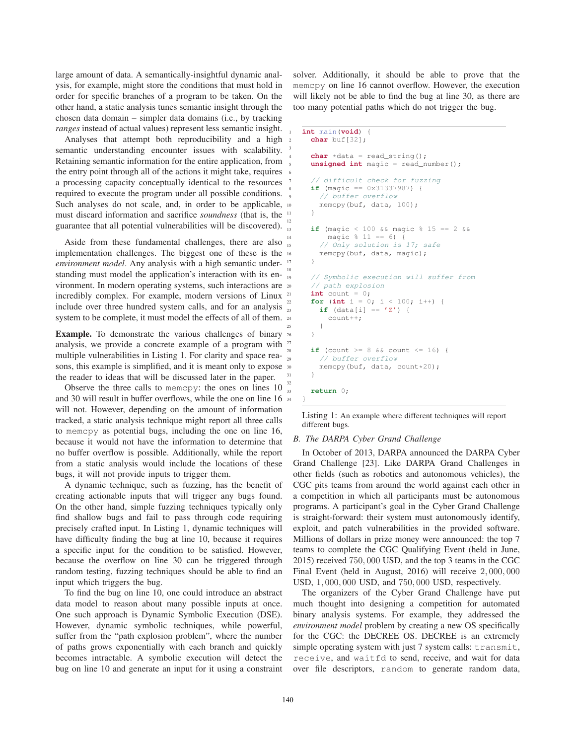large amount of data. A semantically-insightful dynamic analysis, for example, might store the conditions that must hold in order for specific branches of a program to be taken. On the other hand, a static analysis tunes semantic insight through the chosen data domain – simpler data domains (i.e., by tracking *ranges* instead of actual values) represent less semantic insight.

Analyses that attempt both reproducibility and a high semantic understanding encounter issues with scalability. Retaining semantic information for the entire application, from the entry point through all of the actions it might take, requires a processing capacity conceptually identical to the resources required to execute the program under all possible conditions. Such analyses do not scale, and, in order to be applicable, 10 must discard information and sacrifice *soundness* (that is, the guarantee that all potential vulnerabilities will be discovered).  $\frac{12}{13}$ 

Aside from these fundamental challenges, there are also  $\frac{14}{15}$ implementation challenges. The biggest one of these is the 16 *environment model*. Any analysis with a high semantic understanding must model the application's interaction with its en- $\frac{18}{19}$ vironment. In modern operating systems, such interactions are 20 incredibly complex. For example, modern versions of Linux<sup>21</sup> include over three hundred system calls, and for an analysis  $\frac{a}{23}$ system to be complete, it must model the effects of all of them. 24

**Example.** To demonstrate the various challenges of binary 26 (but) analysis, we provide a concrete example of a program with multiple vulnerabilities in Listing 1. For clarity and space reasons, this example is simplified, and it is meant only to expose <sup>30</sup> the reader to ideas that will be discussed later in the paper.

Observe the three calls to memcpy: the ones on lines 10 and 30 will result in buffer overflows, while the one on line  $16 \frac{34}{15}$ will not. However, depending on the amount of information tracked, a static analysis technique might report all three calls to memcpy as potential bugs, including the one on line 16, because it would not have the information to determine that no buffer overflow is possible. Additionally, while the report from a static analysis would include the locations of these bugs, it will not provide inputs to trigger them.

A dynamic technique, such as fuzzing, has the benefit of creating actionable inputs that will trigger any bugs found. On the other hand, simple fuzzing techniques typically only find shallow bugs and fail to pass through code requiring precisely crafted input. In Listing 1, dynamic techniques will have difficulty finding the bug at line 10, because it requires a specific input for the condition to be satisfied. However, because the overflow on line 30 can be triggered through random testing, fuzzing techniques should be able to find an input which triggers the bug.

To find the bug on line 10, one could introduce an abstract data model to reason about many possible inputs at once. One such approach is Dynamic Symbolic Execution (DSE). However, dynamic symbolic techniques, while powerful, suffer from the "path explosion problem", where the number of paths grows exponentially with each branch and quickly becomes intractable. A symbolic execution will detect the bug on line 10 and generate an input for it using a constraint

solver. Additionally, it should be able to prove that the memcpy on line 16 cannot overflow. However, the execution will likely not be able to find the bug at line 30, as there are too many potential paths which do not trigger the bug.

```
1 int main(void) {
      char buf<sup>[32];</sup>
      char *data = read\_string();
      unsigned int magic = read_number();
        / difficult check for fuzzing
      if (magic == 0 \times 31337987) {
        9 // buffer overflow
        memcpy(buf, data, 100);
11 \qquad \qquad \}if (magic < 100 && magic % 15 == 2 &&
          magic % 11 == 6) {
         // Only solution is 17; safe
        memcpy(buf, data, magic);
17 }
      // Symbolic execution will suffer from
       // path explosion
      int count = 0;
      for (int i = 0; i < 100; i++) {
        if (data[i] == 'Z') {
          count++;25 }
      if (count >= 8 && count <= 16) {
        29 // buffer overflow
        memcpy(buf, data, count*20);
      \left| \right\rangle33 return 0;
```
Listing 1: An example where different techniques will report different bugs.

#### *B. The DARPA Cyber Grand Challenge*

In October of 2013, DARPA announced the DARPA Cyber Grand Challenge [23]. Like DARPA Grand Challenges in other fields (such as robotics and autonomous vehicles), the CGC pits teams from around the world against each other in a competition in which all participants must be autonomous programs. A participant's goal in the Cyber Grand Challenge is straight-forward: their system must autonomously identify, exploit, and patch vulnerabilities in the provided software. Millions of dollars in prize money were announced: the top 7 teams to complete the CGC Qualifying Event (held in June, 2015) received 750, 000 USD, and the top 3 teams in the CGC Final Event (held in August, 2016) will receive 2, 000, 000 USD, 1, 000, 000 USD, and 750, 000 USD, respectively.

The organizers of the Cyber Grand Challenge have put much thought into designing a competition for automated binary analysis systems. For example, they addressed the *environment model* problem by creating a new OS specifically for the CGC: the DECREE OS. DECREE is an extremely simple operating system with just 7 system calls: transmit, receive, and waitfd to send, receive, and wait for data over file descriptors, random to generate random data,

3

6

27

32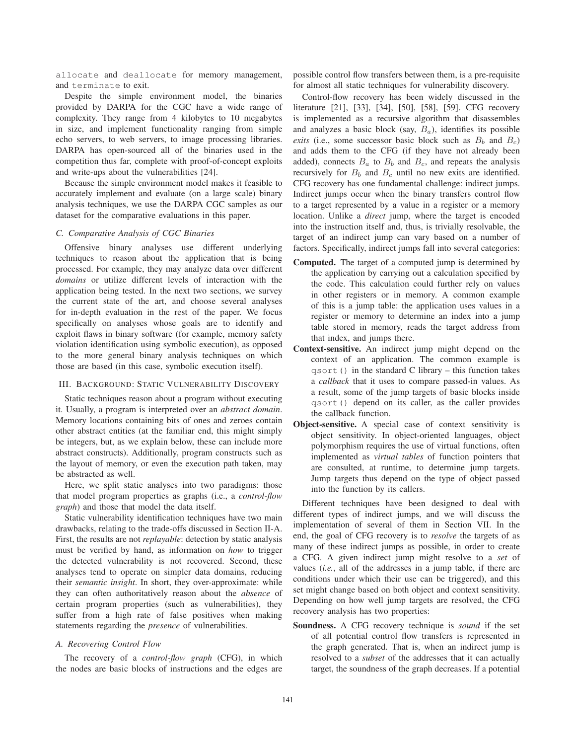allocate and deallocate for memory management, and terminate to exit.

Despite the simple environment model, the binaries provided by DARPA for the CGC have a wide range of complexity. They range from 4 kilobytes to 10 megabytes in size, and implement functionality ranging from simple echo servers, to web servers, to image processing libraries. DARPA has open-sourced all of the binaries used in the competition thus far, complete with proof-of-concept exploits and write-ups about the vulnerabilities [24].

Because the simple environment model makes it feasible to accurately implement and evaluate (on a large scale) binary analysis techniques, we use the DARPA CGC samples as our dataset for the comparative evaluations in this paper.

# *C. Comparative Analysis of CGC Binaries*

Offensive binary analyses use different underlying techniques to reason about the application that is being processed. For example, they may analyze data over different *domains* or utilize different levels of interaction with the application being tested. In the next two sections, we survey the current state of the art, and choose several analyses for in-depth evaluation in the rest of the paper. We focus specifically on analyses whose goals are to identify and exploit flaws in binary software (for example, memory safety violation identification using symbolic execution), as opposed to the more general binary analysis techniques on which those are based (in this case, symbolic execution itself).

#### III. BACKGROUND: STATIC VULNERABILITY DISCOVERY

Static techniques reason about a program without executing it. Usually, a program is interpreted over an *abstract domain*. Memory locations containing bits of ones and zeroes contain other abstract entities (at the familiar end, this might simply be integers, but, as we explain below, these can include more abstract constructs). Additionally, program constructs such as the layout of memory, or even the execution path taken, may be abstracted as well.

Here, we split static analyses into two paradigms: those that model program properties as graphs (i.e., a *control-flow graph*) and those that model the data itself.

Static vulnerability identification techniques have two main drawbacks, relating to the trade-offs discussed in Section II-A. First, the results are not *replayable*: detection by static analysis must be verified by hand, as information on *how* to trigger the detected vulnerability is not recovered. Second, these analyses tend to operate on simpler data domains, reducing their *semantic insight*. In short, they over-approximate: while they can often authoritatively reason about the *absence* of certain program properties (such as vulnerabilities), they suffer from a high rate of false positives when making statements regarding the *presence* of vulnerabilities.

# *A. Recovering Control Flow*

The recovery of a *control-flow graph* (CFG), in which the nodes are basic blocks of instructions and the edges are possible control flow transfers between them, is a pre-requisite for almost all static techniques for vulnerability discovery.

Control-flow recovery has been widely discussed in the literature [21], [33], [34], [50], [58], [59]. CFG recovery is implemented as a recursive algorithm that disassembles and analyzes a basic block (say,  $B_a$ ), identifies its possible *exits* (i.e., some successor basic block such as  $B_b$  and  $B_c$ ) and adds them to the CFG (if they have not already been added), connects  $B_a$  to  $B_b$  and  $B_c$ , and repeats the analysis recursively for  $B_b$  and  $B_c$  until no new exits are identified. CFG recovery has one fundamental challenge: indirect jumps. Indirect jumps occur when the binary transfers control flow to a target represented by a value in a register or a memory location. Unlike a *direct* jump, where the target is encoded into the instruction itself and, thus, is trivially resolvable, the target of an indirect jump can vary based on a number of factors. Specifically, indirect jumps fall into several categories:

- Computed. The target of a computed jump is determined by the application by carrying out a calculation specified by the code. This calculation could further rely on values in other registers or in memory. A common example of this is a jump table: the application uses values in a register or memory to determine an index into a jump table stored in memory, reads the target address from that index, and jumps there.
- Context-sensitive. An indirect jump might depend on the context of an application. The common example is  $qsort()$  in the standard C library – this function takes a *callback* that it uses to compare passed-in values. As a result, some of the jump targets of basic blocks inside qsort() depend on its caller, as the caller provides the callback function.
- Object-sensitive. A special case of context sensitivity is object sensitivity. In object-oriented languages, object polymorphism requires the use of virtual functions, often implemented as *virtual tables* of function pointers that are consulted, at runtime, to determine jump targets. Jump targets thus depend on the type of object passed into the function by its callers.

Different techniques have been designed to deal with different types of indirect jumps, and we will discuss the implementation of several of them in Section VII. In the end, the goal of CFG recovery is to *resolve* the targets of as many of these indirect jumps as possible, in order to create a CFG. A given indirect jump might resolve to a *set* of values (*i.e.*, all of the addresses in a jump table, if there are conditions under which their use can be triggered), and this set might change based on both object and context sensitivity. Depending on how well jump targets are resolved, the CFG recovery analysis has two properties:

Soundness. A CFG recovery technique is *sound* if the set of all potential control flow transfers is represented in the graph generated. That is, when an indirect jump is resolved to a *subset* of the addresses that it can actually target, the soundness of the graph decreases. If a potential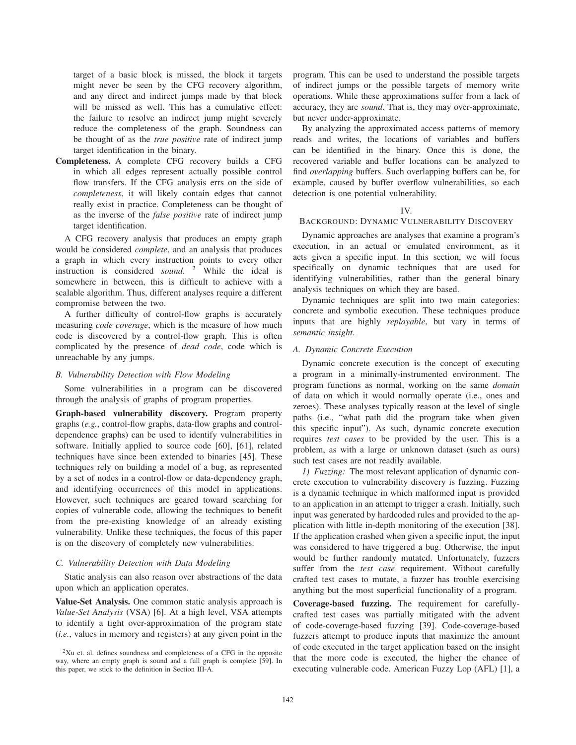target of a basic block is missed, the block it targets might never be seen by the CFG recovery algorithm, and any direct and indirect jumps made by that block will be missed as well. This has a cumulative effect: the failure to resolve an indirect jump might severely reduce the completeness of the graph. Soundness can be thought of as the *true positive* rate of indirect jump target identification in the binary.

Completeness. A complete CFG recovery builds a CFG in which all edges represent actually possible control flow transfers. If the CFG analysis errs on the side of *completeness*, it will likely contain edges that cannot really exist in practice. Completeness can be thought of as the inverse of the *false positive* rate of indirect jump target identification.

A CFG recovery analysis that produces an empty graph would be considered *complete*, and an analysis that produces a graph in which every instruction points to every other instruction is considered *sound*. <sup>2</sup> While the ideal is somewhere in between, this is difficult to achieve with a scalable algorithm. Thus, different analyses require a different compromise between the two.

A further difficulty of control-flow graphs is accurately measuring *code coverage*, which is the measure of how much code is discovered by a control-flow graph. This is often complicated by the presence of *dead code*, code which is unreachable by any jumps.

# *B. Vulnerability Detection with Flow Modeling*

Some vulnerabilities in a program can be discovered through the analysis of graphs of program properties.

Graph-based vulnerability discovery. Program property graphs (*e.g.*, control-flow graphs, data-flow graphs and controldependence graphs) can be used to identify vulnerabilities in software. Initially applied to source code [60], [61], related techniques have since been extended to binaries [45]. These techniques rely on building a model of a bug, as represented by a set of nodes in a control-flow or data-dependency graph, and identifying occurrences of this model in applications. However, such techniques are geared toward searching for copies of vulnerable code, allowing the techniques to benefit from the pre-existing knowledge of an already existing vulnerability. Unlike these techniques, the focus of this paper is on the discovery of completely new vulnerabilities.

# *C. Vulnerability Detection with Data Modeling*

Static analysis can also reason over abstractions of the data upon which an application operates.

Value-Set Analysis. One common static analysis approach is *Value-Set Analysis* (VSA) [6]. At a high level, VSA attempts to identify a tight over-approximation of the program state (*i.e.*, values in memory and registers) at any given point in the program. This can be used to understand the possible targets of indirect jumps or the possible targets of memory write operations. While these approximations suffer from a lack of accuracy, they are *sound*. That is, they may over-approximate, but never under-approximate.

By analyzing the approximated access patterns of memory reads and writes, the locations of variables and buffers can be identified in the binary. Once this is done, the recovered variable and buffer locations can be analyzed to find *overlapping* buffers. Such overlapping buffers can be, for example, caused by buffer overflow vulnerabilities, so each detection is one potential vulnerability.

#### IV.

# BACKGROUND: DYNAMIC VULNERABILITY DISCOVERY

Dynamic approaches are analyses that examine a program's execution, in an actual or emulated environment, as it acts given a specific input. In this section, we will focus specifically on dynamic techniques that are used for identifying vulnerabilities, rather than the general binary analysis techniques on which they are based.

Dynamic techniques are split into two main categories: concrete and symbolic execution. These techniques produce inputs that are highly *replayable*, but vary in terms of *semantic insight*.

#### *A. Dynamic Concrete Execution*

Dynamic concrete execution is the concept of executing a program in a minimally-instrumented environment. The program functions as normal, working on the same *domain* of data on which it would normally operate (i.e., ones and zeroes). These analyses typically reason at the level of single paths (i.e., "what path did the program take when given this specific input"). As such, dynamic concrete execution requires *test cases* to be provided by the user. This is a problem, as with a large or unknown dataset (such as ours) such test cases are not readily available.

*1) Fuzzing:* The most relevant application of dynamic concrete execution to vulnerability discovery is fuzzing. Fuzzing is a dynamic technique in which malformed input is provided to an application in an attempt to trigger a crash. Initially, such input was generated by hardcoded rules and provided to the application with little in-depth monitoring of the execution [38]. If the application crashed when given a specific input, the input was considered to have triggered a bug. Otherwise, the input would be further randomly mutated. Unfortunately, fuzzers suffer from the *test case* requirement. Without carefully crafted test cases to mutate, a fuzzer has trouble exercising anything but the most superficial functionality of a program.

Coverage-based fuzzing. The requirement for carefullycrafted test cases was partially mitigated with the advent of code-coverage-based fuzzing [39]. Code-coverage-based fuzzers attempt to produce inputs that maximize the amount of code executed in the target application based on the insight that the more code is executed, the higher the chance of executing vulnerable code. American Fuzzy Lop (AFL) [1], a

 $2$ Xu et. al. defines soundness and completeness of a CFG in the opposite way, where an empty graph is sound and a full graph is complete  $\tilde{59}$ . In this paper, we stick to the definition in Section III-A.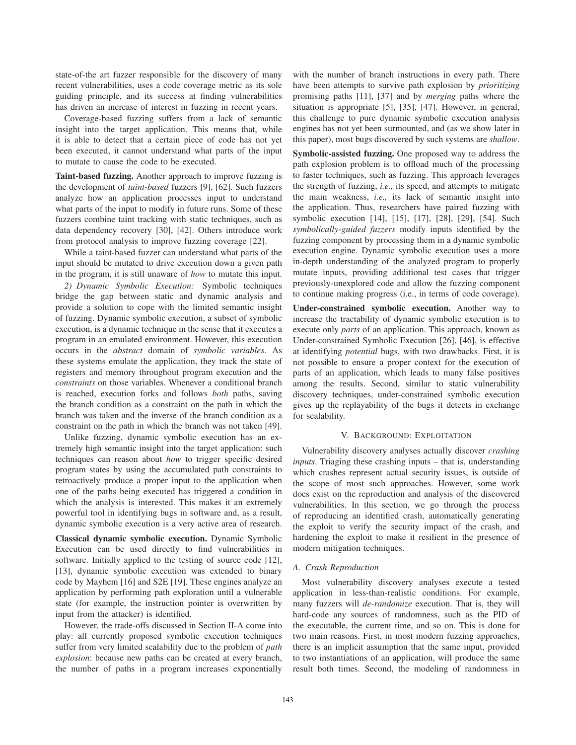state-of-the art fuzzer responsible for the discovery of many recent vulnerabilities, uses a code coverage metric as its sole guiding principle, and its success at finding vulnerabilities has driven an increase of interest in fuzzing in recent years.

Coverage-based fuzzing suffers from a lack of semantic insight into the target application. This means that, while it is able to detect that a certain piece of code has not yet been executed, it cannot understand what parts of the input to mutate to cause the code to be executed.

Taint-based fuzzing. Another approach to improve fuzzing is the development of *taint-based* fuzzers [9], [62]. Such fuzzers analyze how an application processes input to understand what parts of the input to modify in future runs. Some of these fuzzers combine taint tracking with static techniques, such as data dependency recovery [30], [42]. Others introduce work from protocol analysis to improve fuzzing coverage [22].

While a taint-based fuzzer can understand what parts of the input should be mutated to drive execution down a given path in the program, it is still unaware of *how* to mutate this input.

*2) Dynamic Symbolic Execution:* Symbolic techniques bridge the gap between static and dynamic analysis and provide a solution to cope with the limited semantic insight of fuzzing. Dynamic symbolic execution, a subset of symbolic execution, is a dynamic technique in the sense that it executes a program in an emulated environment. However, this execution occurs in the *abstract* domain of *symbolic variables*. As these systems emulate the application, they track the state of registers and memory throughout program execution and the *constraints* on those variables. Whenever a conditional branch is reached, execution forks and follows *both* paths, saving the branch condition as a constraint on the path in which the branch was taken and the inverse of the branch condition as a constraint on the path in which the branch was not taken [49].

Unlike fuzzing, dynamic symbolic execution has an extremely high semantic insight into the target application: such techniques can reason about *how* to trigger specific desired program states by using the accumulated path constraints to retroactively produce a proper input to the application when one of the paths being executed has triggered a condition in which the analysis is interested. This makes it an extremely powerful tool in identifying bugs in software and, as a result, dynamic symbolic execution is a very active area of research.

Classical dynamic symbolic execution. Dynamic Symbolic Execution can be used directly to find vulnerabilities in software. Initially applied to the testing of source code [12], [13], dynamic symbolic execution was extended to binary code by Mayhem [16] and S2E [19]. These engines analyze an application by performing path exploration until a vulnerable state (for example, the instruction pointer is overwritten by input from the attacker) is identified.

However, the trade-offs discussed in Section II-A come into play: all currently proposed symbolic execution techniques suffer from very limited scalability due to the problem of *path explosion*: because new paths can be created at every branch, the number of paths in a program increases exponentially

with the number of branch instructions in every path. There have been attempts to survive path explosion by *prioritizing* promising paths [11], [37] and by *merging* paths where the situation is appropriate [5], [35], [47]. However, in general, this challenge to pure dynamic symbolic execution analysis engines has not yet been surmounted, and (as we show later in this paper), most bugs discovered by such systems are *shallow*.

Symbolic-assisted fuzzing. One proposed way to address the path explosion problem is to offload much of the processing to faster techniques, such as fuzzing. This approach leverages the strength of fuzzing, *i.e.,* its speed, and attempts to mitigate the main weakness, *i.e.,* its lack of semantic insight into the application. Thus, researchers have paired fuzzing with symbolic execution [14], [15], [17], [28], [29], [54]. Such *symbolically-guided fuzzers* modify inputs identified by the fuzzing component by processing them in a dynamic symbolic execution engine. Dynamic symbolic execution uses a more in-depth understanding of the analyzed program to properly mutate inputs, providing additional test cases that trigger previously-unexplored code and allow the fuzzing component to continue making progress (i.e., in terms of code coverage).

Under-constrained symbolic execution. Another way to increase the tractability of dynamic symbolic execution is to execute only *parts* of an application. This approach, known as Under-constrained Symbolic Execution [26], [46], is effective at identifying *potential* bugs, with two drawbacks. First, it is not possible to ensure a proper context for the execution of parts of an application, which leads to many false positives among the results. Second, similar to static vulnerability discovery techniques, under-constrained symbolic execution gives up the replayability of the bugs it detects in exchange for scalability.

#### V. BACKGROUND: EXPLOITATION

Vulnerability discovery analyses actually discover *crashing inputs*. Triaging these crashing inputs – that is, understanding which crashes represent actual security issues, is outside of the scope of most such approaches. However, some work does exist on the reproduction and analysis of the discovered vulnerabilities. In this section, we go through the process of reproducing an identified crash, automatically generating the exploit to verify the security impact of the crash, and hardening the exploit to make it resilient in the presence of modern mitigation techniques.

#### *A. Crash Reproduction*

Most vulnerability discovery analyses execute a tested application in less-than-realistic conditions. For example, many fuzzers will *de-randomize* execution. That is, they will hard-code any sources of randomness, such as the PID of the executable, the current time, and so on. This is done for two main reasons. First, in most modern fuzzing approaches, there is an implicit assumption that the same input, provided to two instantiations of an application, will produce the same result both times. Second, the modeling of randomness in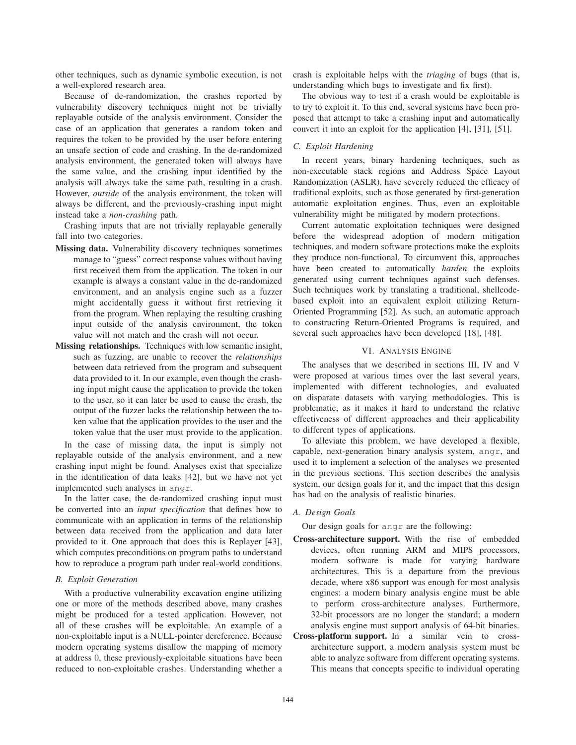other techniques, such as dynamic symbolic execution, is not a well-explored research area.

Because of de-randomization, the crashes reported by vulnerability discovery techniques might not be trivially replayable outside of the analysis environment. Consider the case of an application that generates a random token and requires the token to be provided by the user before entering an unsafe section of code and crashing. In the de-randomized analysis environment, the generated token will always have the same value, and the crashing input identified by the analysis will always take the same path, resulting in a crash. However, *outside* of the analysis environment, the token will always be different, and the previously-crashing input might instead take a *non-crashing* path.

Crashing inputs that are not trivially replayable generally fall into two categories.

- Missing data. Vulnerability discovery techniques sometimes manage to "guess" correct response values without having first received them from the application. The token in our example is always a constant value in the de-randomized environment, and an analysis engine such as a fuzzer might accidentally guess it without first retrieving it from the program. When replaying the resulting crashing input outside of the analysis environment, the token value will not match and the crash will not occur.
- Missing relationships. Techniques with low semantic insight, such as fuzzing, are unable to recover the *relationships* between data retrieved from the program and subsequent data provided to it. In our example, even though the crashing input might cause the application to provide the token to the user, so it can later be used to cause the crash, the output of the fuzzer lacks the relationship between the token value that the application provides to the user and the token value that the user must provide to the application.

In the case of missing data, the input is simply not replayable outside of the analysis environment, and a new crashing input might be found. Analyses exist that specialize in the identification of data leaks [42], but we have not yet implemented such analyses in angr.

In the latter case, the de-randomized crashing input must be converted into an *input specification* that defines how to communicate with an application in terms of the relationship between data received from the application and data later provided to it. One approach that does this is Replayer [43], which computes preconditions on program paths to understand how to reproduce a program path under real-world conditions.

# *B. Exploit Generation*

With a productive vulnerability excavation engine utilizing one or more of the methods described above, many crashes might be produced for a tested application. However, not all of these crashes will be exploitable. An example of a non-exploitable input is a NULL-pointer dereference. Because modern operating systems disallow the mapping of memory at address 0, these previously-exploitable situations have been reduced to non-exploitable crashes. Understanding whether a crash is exploitable helps with the *triaging* of bugs (that is, understanding which bugs to investigate and fix first).

The obvious way to test if a crash would be exploitable is to try to exploit it. To this end, several systems have been proposed that attempt to take a crashing input and automatically convert it into an exploit for the application [4], [31], [51].

# *C. Exploit Hardening*

In recent years, binary hardening techniques, such as non-executable stack regions and Address Space Layout Randomization (ASLR), have severely reduced the efficacy of traditional exploits, such as those generated by first-generation automatic exploitation engines. Thus, even an exploitable vulnerability might be mitigated by modern protections.

Current automatic exploitation techniques were designed before the widespread adoption of modern mitigation techniques, and modern software protections make the exploits they produce non-functional. To circumvent this, approaches have been created to automatically *harden* the exploits generated using current techniques against such defenses. Such techniques work by translating a traditional, shellcodebased exploit into an equivalent exploit utilizing Return-Oriented Programming [52]. As such, an automatic approach to constructing Return-Oriented Programs is required, and several such approaches have been developed [18], [48].

# VI. ANALYSIS ENGINE

The analyses that we described in sections III, IV and V were proposed at various times over the last several years, implemented with different technologies, and evaluated on disparate datasets with varying methodologies. This is problematic, as it makes it hard to understand the relative effectiveness of different approaches and their applicability to different types of applications.

To alleviate this problem, we have developed a flexible, capable, next-generation binary analysis system, angr, and used it to implement a selection of the analyses we presented in the previous sections. This section describes the analysis system, our design goals for it, and the impact that this design has had on the analysis of realistic binaries.

# *A. Design Goals*

Our design goals for angr are the following:

- Cross-architecture support. With the rise of embedded devices, often running ARM and MIPS processors, modern software is made for varying hardware architectures. This is a departure from the previous decade, where x86 support was enough for most analysis engines: a modern binary analysis engine must be able to perform cross-architecture analyses. Furthermore, 32-bit processors are no longer the standard; a modern analysis engine must support analysis of 64-bit binaries.
- Cross-platform support. In a similar vein to crossarchitecture support, a modern analysis system must be able to analyze software from different operating systems. This means that concepts specific to individual operating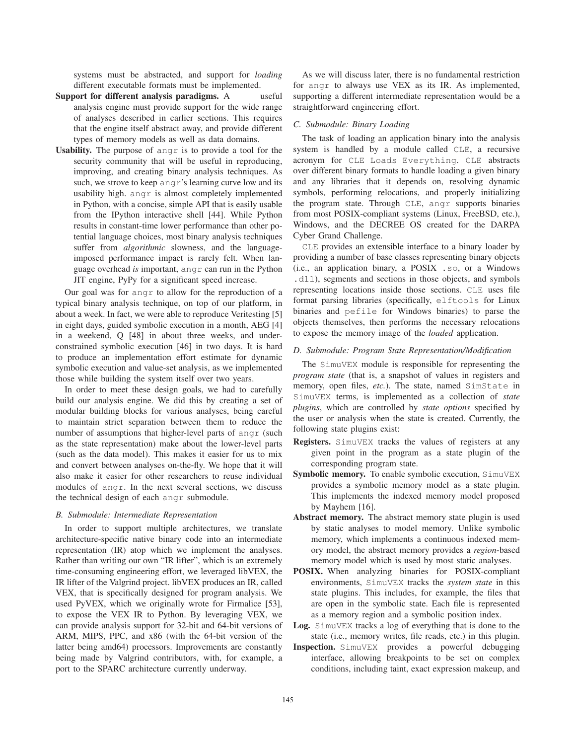systems must be abstracted, and support for *loading* different executable formats must be implemented.

- **Support for different analysis paradigms.** A useful analysis engine must provide support for the wide range of analyses described in earlier sections. This requires that the engine itself abstract away, and provide different types of memory models as well as data domains.
- Usability. The purpose of angr is to provide a tool for the security community that will be useful in reproducing, improving, and creating binary analysis techniques. As such, we strove to keep angr's learning curve low and its usability high. angr is almost completely implemented in Python, with a concise, simple API that is easily usable from the IPython interactive shell [44]. While Python results in constant-time lower performance than other potential language choices, most binary analysis techniques suffer from *algorithmic* slowness, and the languageimposed performance impact is rarely felt. When language overhead *is* important, angr can run in the Python JIT engine, PyPy for a significant speed increase.

Our goal was for angr to allow for the reproduction of a typical binary analysis technique, on top of our platform, in about a week. In fact, we were able to reproduce Veritesting [5] in eight days, guided symbolic execution in a month, AEG [4] in a weekend, Q [48] in about three weeks, and underconstrained symbolic execution [46] in two days. It is hard to produce an implementation effort estimate for dynamic symbolic execution and value-set analysis, as we implemented those while building the system itself over two years.

In order to meet these design goals, we had to carefully build our analysis engine. We did this by creating a set of modular building blocks for various analyses, being careful to maintain strict separation between them to reduce the number of assumptions that higher-level parts of angr (such as the state representation) make about the lower-level parts (such as the data model). This makes it easier for us to mix and convert between analyses on-the-fly. We hope that it will also make it easier for other researchers to reuse individual modules of angr. In the next several sections, we discuss the technical design of each angr submodule.

#### *B. Submodule: Intermediate Representation*

In order to support multiple architectures, we translate architecture-specific native binary code into an intermediate representation (IR) atop which we implement the analyses. Rather than writing our own "IR lifter", which is an extremely time-consuming engineering effort, we leveraged libVEX, the IR lifter of the Valgrind project. libVEX produces an IR, called VEX, that is specifically designed for program analysis. We used PyVEX, which we originally wrote for Firmalice [53], to expose the VEX IR to Python. By leveraging VEX, we can provide analysis support for 32-bit and 64-bit versions of ARM, MIPS, PPC, and x86 (with the 64-bit version of the latter being amd64) processors. Improvements are constantly being made by Valgrind contributors, with, for example, a port to the SPARC architecture currently underway.

As we will discuss later, there is no fundamental restriction for angr to always use VEX as its IR. As implemented, supporting a different intermediate representation would be a straightforward engineering effort.

# *C. Submodule: Binary Loading*

The task of loading an application binary into the analysis system is handled by a module called CLE, a recursive acronym for CLE Loads Everything. CLE abstracts over different binary formats to handle loading a given binary and any libraries that it depends on, resolving dynamic symbols, performing relocations, and properly initializing the program state. Through CLE, angr supports binaries from most POSIX-compliant systems (Linux, FreeBSD, etc.), Windows, and the DECREE OS created for the DARPA Cyber Grand Challenge.

CLE provides an extensible interface to a binary loader by providing a number of base classes representing binary objects (i.e., an application binary, a POSIX .so, or a Windows .dll), segments and sections in those objects, and symbols representing locations inside those sections. CLE uses file format parsing libraries (specifically, elftools for Linux binaries and pefile for Windows binaries) to parse the objects themselves, then performs the necessary relocations to expose the memory image of the *loaded* application.

#### *D. Submodule: Program State Representation/Modification*

The SimuVEX module is responsible for representing the *program state* (that is, a snapshot of values in registers and memory, open files, *etc.*). The state, named SimState in SimuVEX terms, is implemented as a collection of *state plugins*, which are controlled by *state options* specified by the user or analysis when the state is created. Currently, the following state plugins exist:

- **Registers.** SimuVEX tracks the values of registers at any given point in the program as a state plugin of the corresponding program state.
- Symbolic memory. To enable symbolic execution, SimuVEX provides a symbolic memory model as a state plugin. This implements the indexed memory model proposed by Mayhem [16].
- Abstract memory. The abstract memory state plugin is used by static analyses to model memory. Unlike symbolic memory, which implements a continuous indexed memory model, the abstract memory provides a *region*-based memory model which is used by most static analyses.
- POSIX. When analyzing binaries for POSIX-compliant environments, SimuVEX tracks the *system state* in this state plugins. This includes, for example, the files that are open in the symbolic state. Each file is represented as a memory region and a symbolic position index.
- Log. SimuVEX tracks a log of everything that is done to the state (i.e., memory writes, file reads, etc.) in this plugin.
- Inspection. SimuVEX provides a powerful debugging interface, allowing breakpoints to be set on complex conditions, including taint, exact expression makeup, and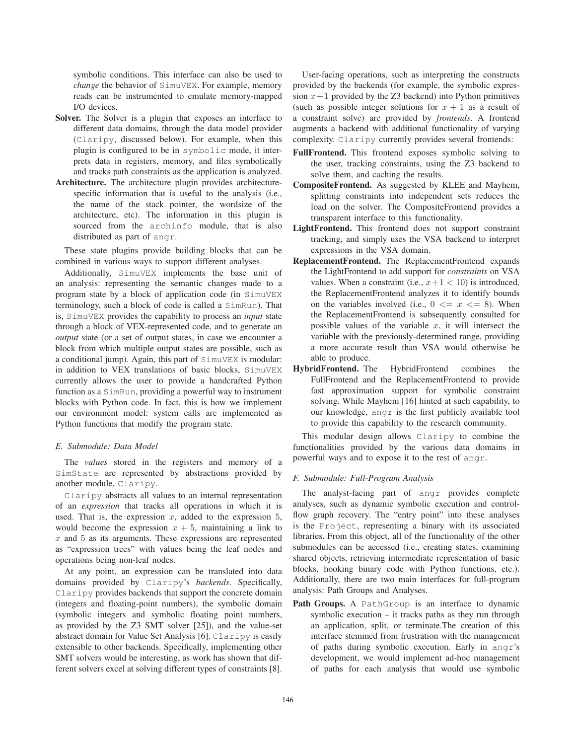symbolic conditions. This interface can also be used to *change* the behavior of SimuVEX. For example, memory reads can be instrumented to emulate memory-mapped I/O devices.

- Solver. The Solver is a plugin that exposes an interface to different data domains, through the data model provider (Claripy, discussed below). For example, when this plugin is configured to be in symbolic mode, it interprets data in registers, memory, and files symbolically and tracks path constraints as the application is analyzed.
- Architecture. The architecture plugin provides architecturespecific information that is useful to the analysis (i.e., the name of the stack pointer, the wordsize of the architecture, etc). The information in this plugin is sourced from the archinfo module, that is also distributed as part of angr.

These state plugins provide building blocks that can be combined in various ways to support different analyses.

Additionally, SimuVEX implements the base unit of an analysis: representing the semantic changes made to a program state by a block of application code (in SimuVEX terminology, such a block of code is called a SimRun). That is, SimuVEX provides the capability to process an *input* state through a block of VEX-represented code, and to generate an *output* state (or a set of output states, in case we encounter a block from which multiple output states are possible, such as a conditional jump). Again, this part of SimuVEX is modular: in addition to VEX translations of basic blocks, SimuVEX currently allows the user to provide a handcrafted Python function as a SimRun, providing a powerful way to instrument blocks with Python code. In fact, this is how we implement our environment model: system calls are implemented as Python functions that modify the program state.

# *E. Submodule: Data Model*

The *values* stored in the registers and memory of a SimState are represented by abstractions provided by another module, Claripy.

Claripy abstracts all values to an internal representation of an *expression* that tracks all operations in which it is used. That is, the expression  $x$ , added to the expression  $5$ , would become the expression  $x + 5$ , maintaining a link to  $x$  and  $5$  as its arguments. These expressions are represented as "expression trees" with values being the leaf nodes and operations being non-leaf nodes.

At any point, an expression can be translated into data domains provided by Claripy's *backends*. Specifically, Claripy provides backends that support the concrete domain (integers and floating-point numbers), the symbolic domain (symbolic integers and symbolic floating point numbers, as provided by the Z3 SMT solver [25]), and the value-set abstract domain for Value Set Analysis [6]. Claripy is easily extensible to other backends. Specifically, implementing other SMT solvers would be interesting, as work has shown that different solvers excel at solving different types of constraints [8].

User-facing operations, such as interpreting the constructs provided by the backends (for example, the symbolic expression  $x+1$  provided by the Z3 backend) into Python primitives (such as possible integer solutions for  $x + 1$  as a result of a constraint solve) are provided by *frontends*. A frontend augments a backend with additional functionality of varying complexity. Claripy currently provides several frontends:

- FullFrontend. This frontend exposes symbolic solving to the user, tracking constraints, using the Z3 backend to solve them, and caching the results.
- CompositeFrontend. As suggested by KLEE and Mayhem, splitting constraints into independent sets reduces the load on the solver. The CompositeFrontend provides a transparent interface to this functionality.
- LightFrontend. This frontend does not support constraint tracking, and simply uses the VSA backend to interpret expressions in the VSA domain.
- ReplacementFrontend. The ReplacementFrontend expands the LightFrontend to add support for *constraints* on VSA values. When a constraint (i.e.,  $x+1 < 10$ ) is introduced, the ReplacementFrontend analyzes it to identify bounds on the variables involved (i.e.,  $0 \le x \le 8$ ). When the ReplacementFrontend is subsequently consulted for possible values of the variable  $x$ , it will intersect the variable with the previously-determined range, providing a more accurate result than VSA would otherwise be able to produce.
- HybridFrontend. The HybridFrontend combines the FullFrontend and the ReplacementFrontend to provide fast approximation support for symbolic constraint solving. While Mayhem [16] hinted at such capability, to our knowledge, angr is the first publicly available tool to provide this capability to the research community.

This modular design allows Claripy to combine the functionalities provided by the various data domains in powerful ways and to expose it to the rest of angr.

# *F. Submodule: Full-Program Analysis*

The analyst-facing part of angr provides complete analyses, such as dynamic symbolic execution and controlflow graph recovery. The "entry point" into these analyses is the Project, representing a binary with its associated libraries. From this object, all of the functionality of the other submodules can be accessed (i.e., creating states, examining shared objects, retrieving intermediate representation of basic blocks, hooking binary code with Python functions, etc.). Additionally, there are two main interfaces for full-program analysis: Path Groups and Analyses.

Path Groups. A PathGroup is an interface to dynamic symbolic execution – it tracks paths as they run through an application, split, or terminate.The creation of this interface stemmed from frustration with the management of paths during symbolic execution. Early in angr's development, we would implement ad-hoc management of paths for each analysis that would use symbolic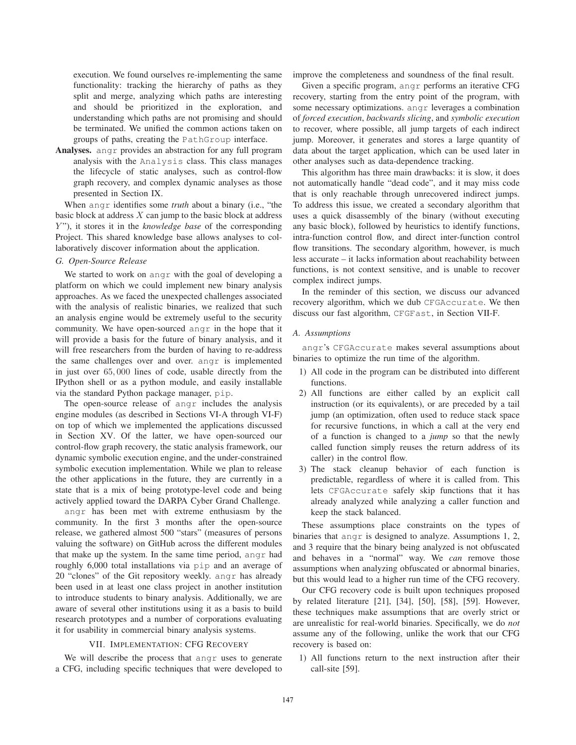execution. We found ourselves re-implementing the same functionality: tracking the hierarchy of paths as they split and merge, analyzing which paths are interesting and should be prioritized in the exploration, and understanding which paths are not promising and should be terminated. We unified the common actions taken on groups of paths, creating the PathGroup interface.

Analyses. angr provides an abstraction for any full program analysis with the Analysis class. This class manages the lifecycle of static analyses, such as control-flow graph recovery, and complex dynamic analyses as those presented in Section IX.

When angr identifies some *truth* about a binary (i.e., "the basic block at address  $X$  can jump to the basic block at address Y"), it stores it in the *knowledge base* of the corresponding Project. This shared knowledge base allows analyses to collaboratively discover information about the application.

#### *G. Open-Source Release*

We started to work on angr with the goal of developing a platform on which we could implement new binary analysis approaches. As we faced the unexpected challenges associated with the analysis of realistic binaries, we realized that such an analysis engine would be extremely useful to the security community. We have open-sourced angr in the hope that it will provide a basis for the future of binary analysis, and it will free researchers from the burden of having to re-address the same challenges over and over. angr is implemented in just over 65, 000 lines of code, usable directly from the IPython shell or as a python module, and easily installable via the standard Python package manager, pip.

The open-source release of angr includes the analysis engine modules (as described in Sections VI-A through VI-F) on top of which we implemented the applications discussed in Section XV. Of the latter, we have open-sourced our control-flow graph recovery, the static analysis framework, our dynamic symbolic execution engine, and the under-constrained symbolic execution implementation. While we plan to release the other applications in the future, they are currently in a state that is a mix of being prototype-level code and being actively applied toward the DARPA Cyber Grand Challenge.

angr has been met with extreme enthusiasm by the community. In the first 3 months after the open-source release, we gathered almost 500 "stars" (measures of persons valuing the software) on GitHub across the different modules that make up the system. In the same time period, angr had roughly 6,000 total installations via pip and an average of 20 "clones" of the Git repository weekly. angr has already been used in at least one class project in another institution to introduce students to binary analysis. Additionally, we are aware of several other institutions using it as a basis to build research prototypes and a number of corporations evaluating it for usability in commercial binary analysis systems.

# VII. IMPLEMENTATION: CFG RECOVERY

We will describe the process that angr uses to generate a CFG, including specific techniques that were developed to improve the completeness and soundness of the final result.

Given a specific program, angr performs an iterative CFG recovery, starting from the entry point of the program, with some necessary optimizations. angr leverages a combination of *forced execution*, *backwards slicing*, and *symbolic execution* to recover, where possible, all jump targets of each indirect jump. Moreover, it generates and stores a large quantity of data about the target application, which can be used later in other analyses such as data-dependence tracking.

This algorithm has three main drawbacks: it is slow, it does not automatically handle "dead code", and it may miss code that is only reachable through unrecovered indirect jumps. To address this issue, we created a secondary algorithm that uses a quick disassembly of the binary (without executing any basic block), followed by heuristics to identify functions, intra-function control flow, and direct inter-function control flow transitions. The secondary algorithm, however, is much less accurate – it lacks information about reachability between functions, is not context sensitive, and is unable to recover complex indirect jumps.

In the reminder of this section, we discuss our advanced recovery algorithm, which we dub CFGAccurate. We then discuss our fast algorithm, CFGFast, in Section VII-F.

#### *A. Assumptions*

angr's CFGAccurate makes several assumptions about binaries to optimize the run time of the algorithm.

- 1) All code in the program can be distributed into different functions.
- 2) All functions are either called by an explicit call instruction (or its equivalents), or are preceded by a tail jump (an optimization, often used to reduce stack space for recursive functions, in which a call at the very end of a function is changed to a *jump* so that the newly called function simply reuses the return address of its caller) in the control flow.
- 3) The stack cleanup behavior of each function is predictable, regardless of where it is called from. This lets CFGAccurate safely skip functions that it has already analyzed while analyzing a caller function and keep the stack balanced.

These assumptions place constraints on the types of binaries that angr is designed to analyze. Assumptions 1, 2, and 3 require that the binary being analyzed is not obfuscated and behaves in a "normal" way. We *can* remove those assumptions when analyzing obfuscated or abnormal binaries, but this would lead to a higher run time of the CFG recovery.

Our CFG recovery code is built upon techniques proposed by related literature [21], [34], [50], [58], [59]. However, these techniques make assumptions that are overly strict or are unrealistic for real-world binaries. Specifically, we do *not* assume any of the following, unlike the work that our CFG recovery is based on:

1) All functions return to the next instruction after their call-site [59].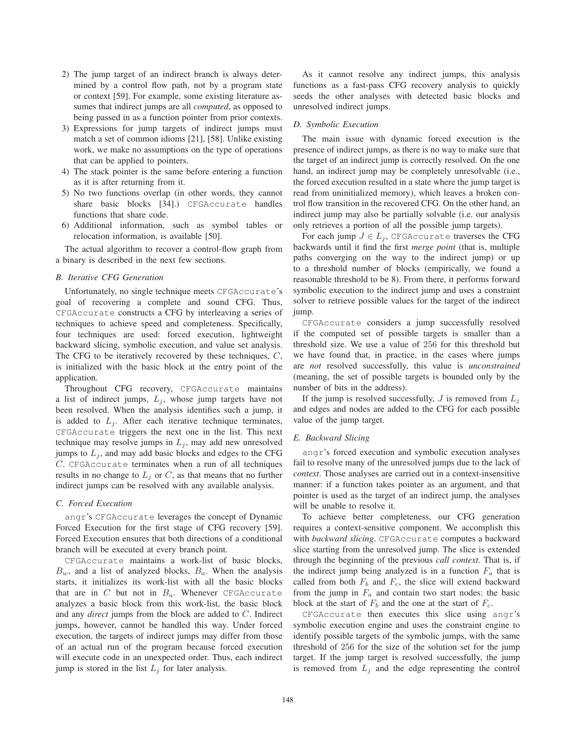- 2) The jump target of an indirect branch is always determined by a control flow path, not by a program state or context [59]. For example, some existing literature assumes that indirect jumps are all *computed*, as opposed to being passed in as a function pointer from prior contexts.
- 3) Expressions for jump targets of indirect jumps must match a set of common idioms [21], [58]. Unlike existing work, we make no assumptions on the type of operations that can be applied to pointers.
- 4) The stack pointer is the same before entering a function as it is after returning from it.
- 5) No two functions overlap (in other words, they cannot share basic blocks [34].) CFGAccurate handles functions that share code.
- 6) Additional information, such as symbol tables or relocation information, is available [50].

The actual algorithm to recover a control-flow graph from a binary is described in the next few sections.

#### *B. Iterative CFG Generation*

Unfortunately, no single technique meets CFGAccurate's goal of recovering a complete and sound CFG. Thus, CFGAccurate constructs a CFG by interleaving a series of techniques to achieve speed and completeness. Specifically, four techniques are used: forced execution, lightweight backward slicing, symbolic execution, and value set analysis. The CFG to be iteratively recovered by these techniques,  $C$ , is initialized with the basic block at the entry point of the application.

Throughout CFG recovery, CFGAccurate maintains a list of indirect jumps,  $L_i$ , whose jump targets have not been resolved. When the analysis identifies such a jump, it is added to  $L_i$ . After each iterative technique terminates, CFGAccurate triggers the next one in the list. This next technique may resolve jumps in  $L_i$ , may add new unresolved jumps to  $L_i$ , and may add basic blocks and edges to the CFG C. CFGAccurate terminates when a run of all techniques results in no change to  $L_j$  or  $C$ , as that means that no further indirect jumps can be resolved with any available analysis.

# *C. Forced Execution*

angr's CFGAccurate leverages the concept of Dynamic Forced Execution for the first stage of CFG recovery [59]. Forced Execution ensures that both directions of a conditional branch will be executed at every branch point.

CFGAccurate maintains a work-list of basic blocks,  $B_w$ , and a list of analyzed blocks,  $B_a$ . When the analysis starts, it initializes its work-list with all the basic blocks that are in  $C$  but not in  $B_a$ . Whenever CFGAccurate analyzes a basic block from this work-list, the basic block and any *direct* jumps from the block are added to C. Indirect jumps, however, cannot be handled this way. Under forced execution, the targets of indirect jumps may differ from those of an actual run of the program because forced execution will execute code in an unexpected order. Thus, each indirect jump is stored in the list  $L_i$  for later analysis.

As it cannot resolve any indirect jumps, this analysis functions as a fast-pass CFG recovery analysis to quickly seeds the other analyses with detected basic blocks and unresolved indirect jumps.

# *D. Symbolic Execution*

The main issue with dynamic forced execution is the presence of indirect jumps, as there is no way to make sure that the target of an indirect jump is correctly resolved. On the one hand, an indirect jump may be completely unresolvable (i.e., the forced execution resulted in a state where the jump target is read from uninitialized memory), which leaves a broken control flow transition in the recovered CFG. On the other hand, an indirect jump may also be partially solvable (i.e. our analysis only retrieves a portion of all the possible jump targets).

For each jump  $J \in L_j$ , CFGAccurate traverses the CFG backwards until it find the first *merge point* (that is, multiple paths converging on the way to the indirect jump) or up to a threshold number of blocks (empirically, we found a reasonable threshold to be 8). From there, it performs forward symbolic execution to the indirect jump and uses a constraint solver to retrieve possible values for the target of the indirect jump.

CFGAccurate considers a jump successfully resolved if the computed set of possible targets is smaller than a threshold size. We use a value of 256 for this threshold but we have found that, in practice, in the cases where jumps are *not* resolved successfully, this value is *unconstrained* (meaning, the set of possible targets is bounded only by the number of bits in the address).

If the jump is resolved successfully,  $J$  is removed from  $L_j$ and edges and nodes are added to the CFG for each possible value of the jump target.

# *E. Backward Slicing*

angr's forced execution and symbolic execution analyses fail to resolve many of the unresolved jumps due to the lack of *context*. Those analyses are carried out in a context-insensitive manner: if a function takes pointer as an argument, and that pointer is used as the target of an indirect jump, the analyses will be unable to resolve it.

To achieve better completeness, our CFG generation requires a context-sensitive component. We accomplish this with *backward slicing*. CFGAccurate computes a backward slice starting from the unresolved jump. The slice is extended through the beginning of the previous *call context*. That is, if the indirect jump being analyzed is in a function  $F_a$  that is called from both  $F_b$  and  $F_c$ , the slice will extend backward from the jump in  $F_a$  and contain two start nodes: the basic block at the start of  $F_b$  and the one at the start of  $F_c$ .

CFGAccurate then executes this slice using angr's symbolic execution engine and uses the constraint engine to identify possible targets of the symbolic jumps, with the same threshold of 256 for the size of the solution set for the jump target. If the jump target is resolved successfully, the jump is removed from  $L_i$  and the edge representing the control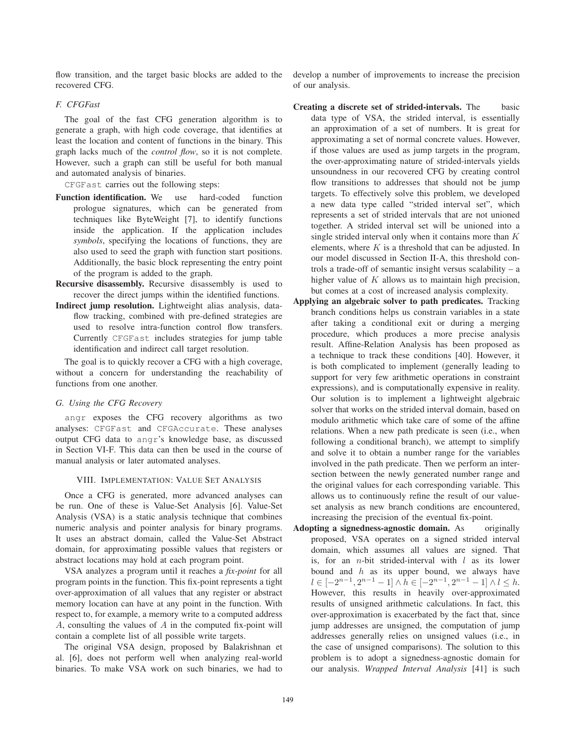flow transition, and the target basic blocks are added to the recovered CFG.

# *F. CFGFast*

The goal of the fast CFG generation algorithm is to generate a graph, with high code coverage, that identifies at least the location and content of functions in the binary. This graph lacks much of the *control flow*, so it is not complete. However, such a graph can still be useful for both manual and automated analysis of binaries.

CFGFast carries out the following steps:

- Function identification. We use hard-coded function prologue signatures, which can be generated from techniques like ByteWeight [7], to identify functions inside the application. If the application includes *symbols*, specifying the locations of functions, they are also used to seed the graph with function start positions. Additionally, the basic block representing the entry point of the program is added to the graph.
- Recursive disassembly. Recursive disassembly is used to recover the direct jumps within the identified functions.
- Indirect jump resolution. Lightweight alias analysis, dataflow tracking, combined with pre-defined strategies are used to resolve intra-function control flow transfers. Currently CFGFast includes strategies for jump table identification and indirect call target resolution.

The goal is to quickly recover a CFG with a high coverage, without a concern for understanding the reachability of functions from one another.

# *G. Using the CFG Recovery*

angr exposes the CFG recovery algorithms as two analyses: CFGFast and CFGAccurate. These analyses output CFG data to angr's knowledge base, as discussed in Section VI-F. This data can then be used in the course of manual analysis or later automated analyses.

# VIII. IMPLEMENTATION: VALUE SET ANALYSIS

Once a CFG is generated, more advanced analyses can be run. One of these is Value-Set Analysis [6]. Value-Set Analysis (VSA) is a static analysis technique that combines numeric analysis and pointer analysis for binary programs. It uses an abstract domain, called the Value-Set Abstract domain, for approximating possible values that registers or abstract locations may hold at each program point.

VSA analyzes a program until it reaches a *fix-point* for all program points in the function. This fix-point represents a tight over-approximation of all values that any register or abstract memory location can have at any point in the function. With respect to, for example, a memory write to a computed address  $A$ , consulting the values of  $A$  in the computed fix-point will contain a complete list of all possible write targets.

The original VSA design, proposed by Balakrishnan et al. [6], does not perform well when analyzing real-world binaries. To make VSA work on such binaries, we had to develop a number of improvements to increase the precision of our analysis.

- Creating a discrete set of strided-intervals. The basic data type of VSA, the strided interval, is essentially an approximation of a set of numbers. It is great for approximating a set of normal concrete values. However, if those values are used as jump targets in the program, the over-approximating nature of strided-intervals yields unsoundness in our recovered CFG by creating control flow transitions to addresses that should not be jump targets. To effectively solve this problem, we developed a new data type called "strided interval set", which represents a set of strided intervals that are not unioned together. A strided interval set will be unioned into a single strided interval only when it contains more than  $K$ elements, where  $K$  is a threshold that can be adjusted. In our model discussed in Section II-A, this threshold controls a trade-off of semantic insight versus scalability  $- a$ higher value of  $K$  allows us to maintain high precision, but comes at a cost of increased analysis complexity.
- Applying an algebraic solver to path predicates. Tracking branch conditions helps us constrain variables in a state after taking a conditional exit or during a merging procedure, which produces a more precise analysis result. Affine-Relation Analysis has been proposed as a technique to track these conditions [40]. However, it is both complicated to implement (generally leading to support for very few arithmetic operations in constraint expressions), and is computationally expensive in reality. Our solution is to implement a lightweight algebraic solver that works on the strided interval domain, based on modulo arithmetic which take care of some of the affine relations. When a new path predicate is seen (i.e., when following a conditional branch), we attempt to simplify and solve it to obtain a number range for the variables involved in the path predicate. Then we perform an intersection between the newly generated number range and the original values for each corresponding variable. This allows us to continuously refine the result of our valueset analysis as new branch conditions are encountered, increasing the precision of the eventual fix-point.
- Adopting a signedness-agnostic domain. As originally proposed, VSA operates on a signed strided interval domain, which assumes all values are signed. That is, for an *n*-bit strided-interval with  $l$  as its lower bound and  $h$  as its upper bound, we always have  $l \in [-2^{n-1}, 2^{n-1}-1] \wedge \widehat{h} \in [-2^{n-1}, 2^{n-1}-1] \wedge l \leq h.$ However, this results in heavily over-approximated results of unsigned arithmetic calculations. In fact, this over-approximation is exacerbated by the fact that, since jump addresses are unsigned, the computation of jump addresses generally relies on unsigned values (i.e., in the case of unsigned comparisons). The solution to this problem is to adopt a signedness-agnostic domain for our analysis. *Wrapped Interval Analysis* [41] is such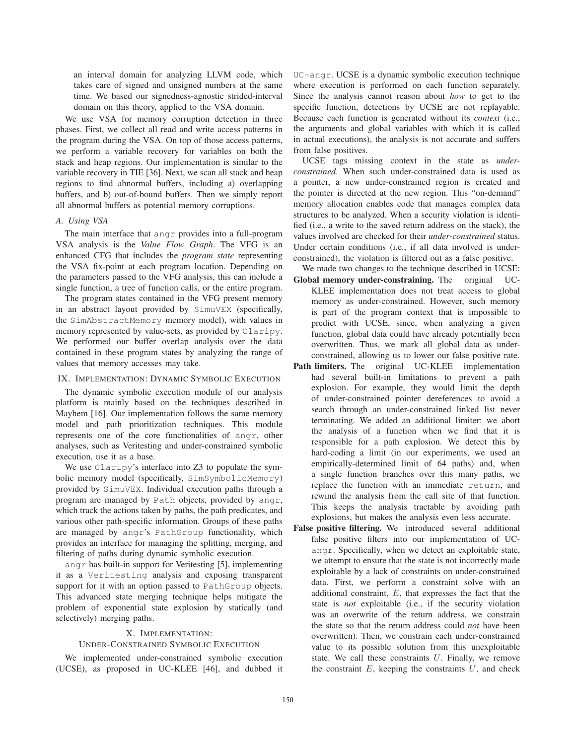an interval domain for analyzing LLVM code, which takes care of signed and unsigned numbers at the same time. We based our signedness-agnostic strided-interval domain on this theory, applied to the VSA domain.

We use VSA for memory corruption detection in three phases. First, we collect all read and write access patterns in the program during the VSA. On top of those access patterns, we perform a variable recovery for variables on both the stack and heap regions. Our implementation is similar to the variable recovery in TIE [36]. Next, we scan all stack and heap regions to find abnormal buffers, including a) overlapping buffers, and b) out-of-bound buffers. Then we simply report all abnormal buffers as potential memory corruptions.

#### *A. Using VSA*

The main interface that angr provides into a full-program VSA analysis is the *Value Flow Graph*. The VFG is an enhanced CFG that includes the *program state* representing the VSA fix-point at each program location. Depending on the parameters passed to the VFG analysis, this can include a single function, a tree of function calls, or the entire program.

The program states contained in the VFG present memory in an abstract layout provided by SimuVEX (specifically, the SimAbstractMemory memory model), with values in memory represented by value-sets, as provided by Claripy. We performed our buffer overlap analysis over the data contained in these program states by analyzing the range of values that memory accesses may take.

# IX. IMPLEMENTATION: DYNAMIC SYMBOLIC EXECUTION

The dynamic symbolic execution module of our analysis platform is mainly based on the techniques described in Mayhem [16]. Our implementation follows the same memory model and path prioritization techniques. This module represents one of the core functionalities of angr, other analyses, such as Veritesting and under-constrained symbolic execution, use it as a base.

We use Claripy's interface into Z3 to populate the symbolic memory model (specifically, SimSymbolicMemory) provided by SimuVEX. Individual execution paths through a program are managed by Path objects, provided by angr, which track the actions taken by paths, the path predicates, and various other path-specific information. Groups of these paths are managed by angr's PathGroup functionality, which provides an interface for managing the splitting, merging, and filtering of paths during dynamic symbolic execution.

angr has built-in support for Veritesting [5], implementing it as a Veritesting analysis and exposing transparent support for it with an option passed to PathGroup objects. This advanced state merging technique helps mitigate the problem of exponential state explosion by statically (and selectively) merging paths.

# X. IMPLEMENTATION:

# UNDER-CONSTRAINED SYMBOLIC EXECUTION

We implemented under-constrained symbolic execution (UCSE), as proposed in UC-KLEE [46], and dubbed it UC-angr. UCSE is a dynamic symbolic execution technique where execution is performed on each function separately. Since the analysis cannot reason about *how* to get to the specific function, detections by UCSE are not replayable. Because each function is generated without its *context* (i.e., the arguments and global variables with which it is called in actual executions), the analysis is not accurate and suffers from false positives.

UCSE tags missing context in the state as *underconstrained*. When such under-constrained data is used as a pointer, a new under-constrained region is created and the pointer is directed at the new region. This "on-demand" memory allocation enables code that manages complex data structures to be analyzed. When a security violation is identified (i.e., a write to the saved return address on the stack), the values involved are checked for their *under-constrained* status. Under certain conditions (i.e., if all data involved is underconstrained), the violation is filtered out as a false positive.

We made two changes to the technique described in UCSE:

- Global memory under-constraining. The original UC-KLEE implementation does not treat access to global memory as under-constrained. However, such memory is part of the program context that is impossible to predict with UCSE, since, when analyzing a given function, global data could have already potentially been overwritten. Thus, we mark all global data as underconstrained, allowing us to lower our false positive rate.
- Path limiters. The original UC-KLEE implementation had several built-in limitations to prevent a path explosion. For example, they would limit the depth of under-constrained pointer dereferences to avoid a search through an under-constrained linked list never terminating. We added an additional limiter: we abort the analysis of a function when we find that it is responsible for a path explosion. We detect this by hard-coding a limit (in our experiments, we used an empirically-determined limit of 64 paths) and, when a single function branches over this many paths, we replace the function with an immediate return, and rewind the analysis from the call site of that function. This keeps the analysis tractable by avoiding path explosions, but makes the analysis even less accurate.
- False positive filtering. We introduced several additional false positive filters into our implementation of UCangr. Specifically, when we detect an exploitable state, we attempt to ensure that the state is not incorrectly made exploitable by a lack of constraints on under-constrained data. First, we perform a constraint solve with an additional constraint, E, that expresses the fact that the state is *not* exploitable (i.e., if the security violation was an overwrite of the return address, we constrain the state so that the return address could *not* have been overwritten). Then, we constrain each under-constrained value to its possible solution from this unexploitable state. We call these constraints  $U$ . Finally, we remove the constraint  $E$ , keeping the constraints  $U$ , and check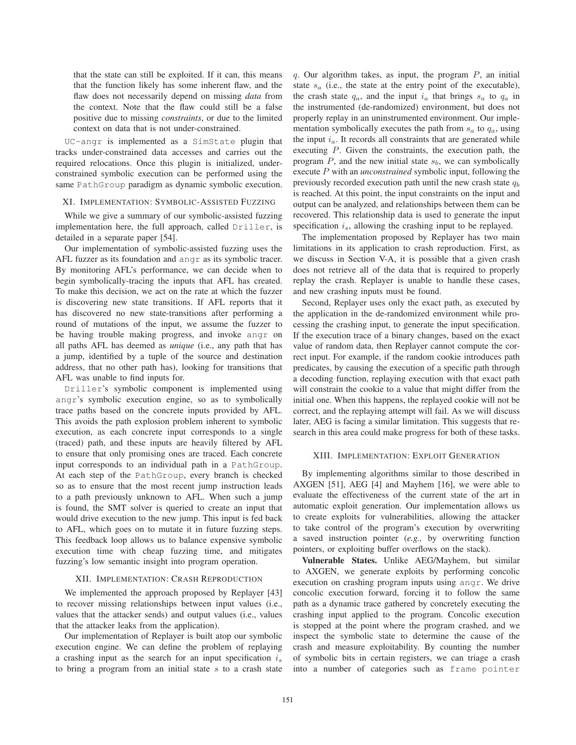that the state can still be exploited. If it can, this means that the function likely has some inherent flaw, and the flaw does not necessarily depend on missing *data* from the context. Note that the flaw could still be a false positive due to missing *constraints*, or due to the limited context on data that is not under-constrained.

UC-angr is implemented as a SimState plugin that tracks under-constrained data accesses and carries out the required relocations. Once this plugin is initialized, underconstrained symbolic execution can be performed using the same PathGroup paradigm as dynamic symbolic execution.

# XI. IMPLEMENTATION: SYMBOLIC-ASSISTED FUZZING

While we give a summary of our symbolic-assisted fuzzing implementation here, the full approach, called Driller, is detailed in a separate paper [54].

Our implementation of symbolic-assisted fuzzing uses the AFL fuzzer as its foundation and angr as its symbolic tracer. By monitoring AFL's performance, we can decide when to begin symbolically-tracing the inputs that AFL has created. To make this decision, we act on the rate at which the fuzzer is discovering new state transitions. If AFL reports that it has discovered no new state-transitions after performing a round of mutations of the input, we assume the fuzzer to be having trouble making progress, and invoke angr on all paths AFL has deemed as *unique* (i.e., any path that has a jump, identified by a tuple of the source and destination address, that no other path has), looking for transitions that AFL was unable to find inputs for.

Driller's symbolic component is implemented using angr's symbolic execution engine, so as to symbolically trace paths based on the concrete inputs provided by AFL. This avoids the path explosion problem inherent to symbolic execution, as each concrete input corresponds to a single (traced) path, and these inputs are heavily filtered by AFL to ensure that only promising ones are traced. Each concrete input corresponds to an individual path in a PathGroup. At each step of the PathGroup, every branch is checked so as to ensure that the most recent jump instruction leads to a path previously unknown to AFL. When such a jump is found, the SMT solver is queried to create an input that would drive execution to the new jump. This input is fed back to AFL, which goes on to mutate it in future fuzzing steps. This feedback loop allows us to balance expensive symbolic execution time with cheap fuzzing time, and mitigates fuzzing's low semantic insight into program operation.

#### XII. IMPLEMENTATION: CRASH REPRODUCTION

We implemented the approach proposed by Replayer [43] to recover missing relationships between input values (i.e., values that the attacker sends) and output values (i.e., values that the attacker leaks from the application).

Our implementation of Replayer is built atop our symbolic execution engine. We can define the problem of replaying a crashing input as the search for an input specification  $i_s$ to bring a program from an initial state  $s$  to a crash state q. Our algorithm takes, as input, the program  $P$ , an initial state  $s_a$  (i.e., the state at the entry point of the executable), the crash state  $q_a$ , and the input  $i_a$  that brings  $s_a$  to  $q_a$  in the instrumented (de-randomized) environment, but does not properly replay in an uninstrumented environment. Our implementation symbolically executes the path from  $s_a$  to  $q_a$ , using the input  $i_a$ . It records all constraints that are generated while executing P. Given the constraints, the execution path, the program  $P$ , and the new initial state  $s<sub>b</sub>$ , we can symbolically execute P with an *unconstrained* symbolic input, following the previously recorded execution path until the new crash state  $q_b$ is reached. At this point, the input constraints on the input and output can be analyzed, and relationships between them can be recovered. This relationship data is used to generate the input specification  $i_s$ , allowing the crashing input to be replayed.

The implementation proposed by Replayer has two main limitations in its application to crash reproduction. First, as we discuss in Section V-A, it is possible that a given crash does not retrieve all of the data that is required to properly replay the crash. Replayer is unable to handle these cases, and new crashing inputs must be found.

Second, Replayer uses only the exact path, as executed by the application in the de-randomized environment while processing the crashing input, to generate the input specification. If the execution trace of a binary changes, based on the exact value of random data, then Replayer cannot compute the correct input. For example, if the random cookie introduces path predicates, by causing the execution of a specific path through a decoding function, replaying execution with that exact path will constrain the cookie to a value that might differ from the initial one. When this happens, the replayed cookie will not be correct, and the replaying attempt will fail. As we will discuss later, AEG is facing a similar limitation. This suggests that research in this area could make progress for both of these tasks.

# XIII. IMPLEMENTATION: EXPLOIT GENERATION

By implementing algorithms similar to those described in AXGEN [51], AEG [4] and Mayhem [16], we were able to evaluate the effectiveness of the current state of the art in automatic exploit generation. Our implementation allows us to create exploits for vulnerabilities, allowing the attacker to take control of the program's execution by overwriting a saved instruction pointer (*e.g.,* by overwriting function pointers, or exploiting buffer overflows on the stack).

Vulnerable States. Unlike AEG/Mayhem, but similar to AXGEN, we generate exploits by performing concolic execution on crashing program inputs using angr. We drive concolic execution forward, forcing it to follow the same path as a dynamic trace gathered by concretely executing the crashing input applied to the program. Concolic execution is stopped at the point where the program crashed, and we inspect the symbolic state to determine the cause of the crash and measure exploitability. By counting the number of symbolic bits in certain registers, we can triage a crash into a number of categories such as frame pointer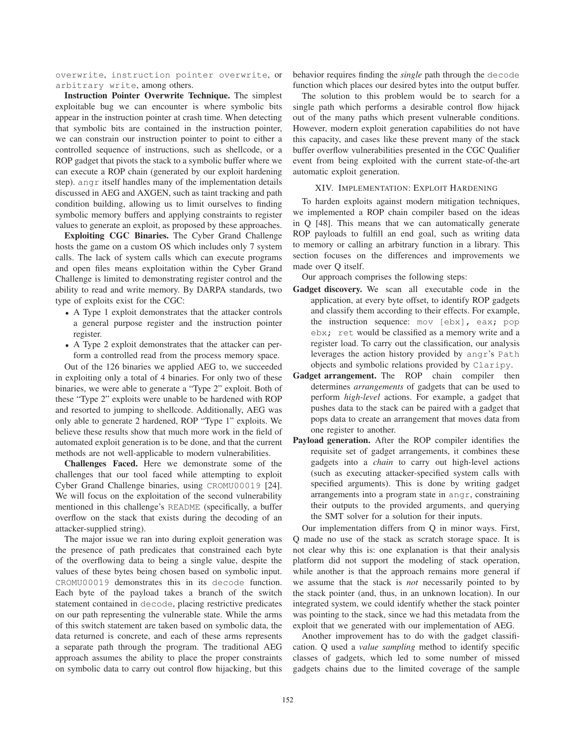overwrite, instruction pointer overwrite, or arbitrary write, among others.

Instruction Pointer Overwrite Technique. The simplest exploitable bug we can encounter is where symbolic bits appear in the instruction pointer at crash time. When detecting that symbolic bits are contained in the instruction pointer, we can constrain our instruction pointer to point to either a controlled sequence of instructions, such as shellcode, or a ROP gadget that pivots the stack to a symbolic buffer where we can execute a ROP chain (generated by our exploit hardening step). angr itself handles many of the implementation details discussed in AEG and AXGEN, such as taint tracking and path condition building, allowing us to limit ourselves to finding symbolic memory buffers and applying constraints to register values to generate an exploit, as proposed by these approaches.

Exploiting CGC Binaries. The Cyber Grand Challenge hosts the game on a custom OS which includes only 7 system calls. The lack of system calls which can execute programs and open files means exploitation within the Cyber Grand Challenge is limited to demonstrating register control and the ability to read and write memory. By DARPA standards, two type of exploits exist for the CGC:

- A Type 1 exploit demonstrates that the attacker controls a general purpose register and the instruction pointer register.
- A Type 2 exploit demonstrates that the attacker can perform a controlled read from the process memory space.

Out of the 126 binaries we applied AEG to, we succeeded in exploiting only a total of 4 binaries. For only two of these binaries, we were able to generate a "Type 2" exploit. Both of these "Type 2" exploits were unable to be hardened with ROP and resorted to jumping to shellcode. Additionally, AEG was only able to generate 2 hardened, ROP "Type 1" exploits. We believe these results show that much more work in the field of automated exploit generation is to be done, and that the current methods are not well-applicable to modern vulnerabilities.

Challenges Faced. Here we demonstrate some of the challenges that our tool faced while attempting to exploit Cyber Grand Challenge binaries, using CROMU00019 [24]. We will focus on the exploitation of the second vulnerability mentioned in this challenge's README (specifically, a buffer overflow on the stack that exists during the decoding of an attacker-supplied string).

The major issue we ran into during exploit generation was the presence of path predicates that constrained each byte of the overflowing data to being a single value, despite the values of these bytes being chosen based on symbolic input. CROMU00019 demonstrates this in its decode function. Each byte of the payload takes a branch of the switch statement contained in decode, placing restrictive predicates on our path representing the vulnerable state. While the arms of this switch statement are taken based on symbolic data, the data returned is concrete, and each of these arms represents a separate path through the program. The traditional AEG approach assumes the ability to place the proper constraints on symbolic data to carry out control flow hijacking, but this behavior requires finding the *single* path through the decode function which places our desired bytes into the output buffer.

The solution to this problem would be to search for a single path which performs a desirable control flow hijack out of the many paths which present vulnerable conditions. However, modern exploit generation capabilities do not have this capacity, and cases like these prevent many of the stack buffer overflow vulnerabilities presented in the CGC Qualifier event from being exploited with the current state-of-the-art automatic exploit generation.

#### XIV. IMPLEMENTATION: EXPLOIT HARDENING

To harden exploits against modern mitigation techniques, we implemented a ROP chain compiler based on the ideas in Q [48]. This means that we can automatically generate ROP payloads to fulfill an end goal, such as writing data to memory or calling an arbitrary function in a library. This section focuses on the differences and improvements we made over Q itself.

Our approach comprises the following steps:

- Gadget discovery. We scan all executable code in the application, at every byte offset, to identify ROP gadgets and classify them according to their effects. For example, the instruction sequence: mov [ebx], eax; pop ebx; ret would be classified as a memory write and a register load. To carry out the classification, our analysis leverages the action history provided by angr's Path objects and symbolic relations provided by Claripy.
- Gadget arrangement. The ROP chain compiler then determines *arrangements* of gadgets that can be used to perform *high-level* actions. For example, a gadget that pushes data to the stack can be paired with a gadget that pops data to create an arrangement that moves data from one register to another.
- Payload generation. After the ROP compiler identifies the requisite set of gadget arrangements, it combines these gadgets into a *chain* to carry out high-level actions (such as executing attacker-specified system calls with specified arguments). This is done by writing gadget arrangements into a program state in angr, constraining their outputs to the provided arguments, and querying the SMT solver for a solution for their inputs.

Our implementation differs from Q in minor ways. First, Q made no use of the stack as scratch storage space. It is not clear why this is: one explanation is that their analysis platform did not support the modeling of stack operation, while another is that the approach remains more general if we assume that the stack is *not* necessarily pointed to by the stack pointer (and, thus, in an unknown location). In our integrated system, we could identify whether the stack pointer was pointing to the stack, since we had this metadata from the exploit that we generated with our implementation of AEG.

Another improvement has to do with the gadget classification. Q used a *value sampling* method to identify specific classes of gadgets, which led to some number of missed gadgets chains due to the limited coverage of the sample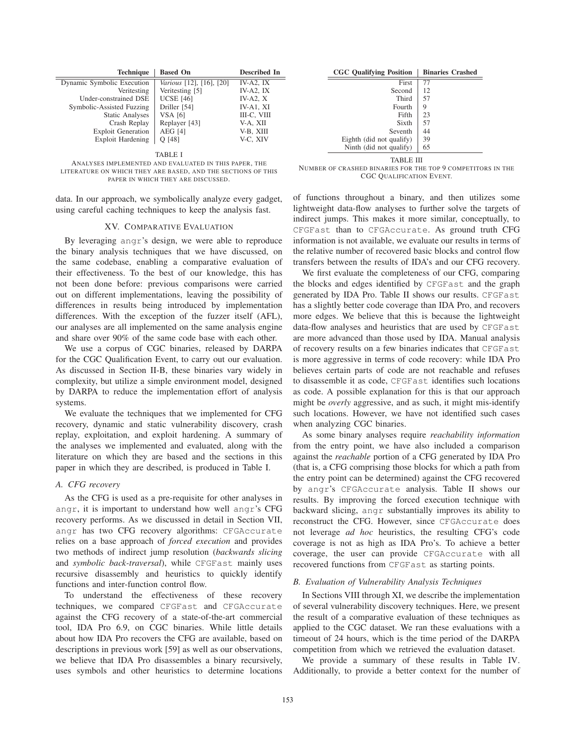| <b>Technique</b>           | <b>Based On</b>                 | Described In |
|----------------------------|---------------------------------|--------------|
| Dynamic Symbolic Execution | <i>Various</i> [12], [16], [20] | $IV-A2.IX$   |
| Veritesting                | Veritesting [5]                 | $IV-A2, IX$  |
| Under-constrained DSE      | <b>UCSE</b> [46]                | $IV-A2, X$   |
| Symbolic-Assisted Fuzzing  | Driller [54]                    | IV-A1, XI    |
| <b>Static Analyses</b>     | <b>VSA</b> [6]                  | III-C, VIII  |
| Crash Replay               | Replayer [43]                   | V-A, XII     |
| <b>Exploit Generation</b>  | <b>AEG</b> [4]                  | V-B, XIII    |
| Exploit Hardening          | $Q$ [48]                        | V-C, XIV     |
|                            |                                 |              |

TABLE I

ANALYSES IMPLEMENTED AND EVALUATED IN THIS PAPER, THE LITERATURE ON WHICH THEY ARE BASED, AND THE SECTIONS OF THIS PAPER IN WHICH THEY ARE DISCUSSED.

data. In our approach, we symbolically analyze every gadget, using careful caching techniques to keep the analysis fast.

# XV. COMPARATIVE EVALUATION

By leveraging angr's design, we were able to reproduce the binary analysis techniques that we have discussed, on the same codebase, enabling a comparative evaluation of their effectiveness. To the best of our knowledge, this has not been done before: previous comparisons were carried out on different implementations, leaving the possibility of differences in results being introduced by implementation differences. With the exception of the fuzzer itself (AFL), our analyses are all implemented on the same analysis engine and share over 90% of the same code base with each other.

We use a corpus of CGC binaries, released by DARPA for the CGC Qualification Event, to carry out our evaluation. As discussed in Section II-B, these binaries vary widely in complexity, but utilize a simple environment model, designed by DARPA to reduce the implementation effort of analysis systems.

We evaluate the techniques that we implemented for CFG recovery, dynamic and static vulnerability discovery, crash replay, exploitation, and exploit hardening. A summary of the analyses we implemented and evaluated, along with the literature on which they are based and the sections in this paper in which they are described, is produced in Table I.

# *A. CFG recovery*

As the CFG is used as a pre-requisite for other analyses in angr, it is important to understand how well angr's CFG recovery performs. As we discussed in detail in Section VII, angr has two CFG recovery algorithms: CFGAccurate relies on a base approach of *forced execution* and provides two methods of indirect jump resolution (*backwards slicing* and *symbolic back-traversal*), while CFGFast mainly uses recursive disassembly and heuristics to quickly identify functions and inter-function control flow.

To understand the effectiveness of these recovery techniques, we compared CFGFast and CFGAccurate against the CFG recovery of a state-of-the-art commercial tool, IDA Pro 6.9, on CGC binaries. While little details about how IDA Pro recovers the CFG are available, based on descriptions in previous work [59] as well as our observations, we believe that IDA Pro disassembles a binary recursively, uses symbols and other heuristics to determine locations

| <b>CGC</b> Qualifying Position | <b>Binaries Crashed</b> |  |  |  |
|--------------------------------|-------------------------|--|--|--|
| First                          | 77                      |  |  |  |
| Second                         | 12                      |  |  |  |
| Third                          | 57                      |  |  |  |
| Fourth                         | 9                       |  |  |  |
| Fifth                          | 23                      |  |  |  |
| Sixth                          | 57                      |  |  |  |
| Seventh                        | 44                      |  |  |  |
| Eighth (did not qualify)       | 39                      |  |  |  |
| Ninth (did not qualify)        | 65                      |  |  |  |

TABLE III

NUMBER OF CRASHED BINARIES FOR THE TOP 9 COMPETITORS IN THE CGC QUALIFICATION EVENT.

of functions throughout a binary, and then utilizes some lightweight data-flow analyses to further solve the targets of indirect jumps. This makes it more similar, conceptually, to CFGFast than to CFGAccurate. As ground truth CFG information is not available, we evaluate our results in terms of the relative number of recovered basic blocks and control flow transfers between the results of IDA's and our CFG recovery.

We first evaluate the completeness of our CFG, comparing the blocks and edges identified by CFGFast and the graph generated by IDA Pro. Table II shows our results. CFGFast has a slightly better code coverage than IDA Pro, and recovers more edges. We believe that this is because the lightweight data-flow analyses and heuristics that are used by CFGFast are more advanced than those used by IDA. Manual analysis of recovery results on a few binaries indicates that CFGFast is more aggressive in terms of code recovery: while IDA Pro believes certain parts of code are not reachable and refuses to disassemble it as code, CFGFast identifies such locations as code. A possible explanation for this is that our approach might be *overly* aggressive, and as such, it might mis-identify such locations. However, we have not identified such cases when analyzing CGC binaries.

As some binary analyses require *reachability information* from the entry point, we have also included a comparison against the *reachable* portion of a CFG generated by IDA Pro (that is, a CFG comprising those blocks for which a path from the entry point can be determined) against the CFG recovered by angr's CFGAccurate analysis. Table II shows our results. By improving the forced execution technique with backward slicing, angr substantially improves its ability to reconstruct the CFG. However, since CFGAccurate does not leverage *ad hoc* heuristics, the resulting CFG's code coverage is not as high as IDA Pro's. To achieve a better coverage, the user can provide CFGAccurate with all recovered functions from CFGFast as starting points.

#### *B. Evaluation of Vulnerability Analysis Techniques*

In Sections VIII through XI, we describe the implementation of several vulnerability discovery techniques. Here, we present the result of a comparative evaluation of these techniques as applied to the CGC dataset. We ran these evaluations with a timeout of 24 hours, which is the time period of the DARPA competition from which we retrieved the evaluation dataset.

We provide a summary of these results in Table IV. Additionally, to provide a better context for the number of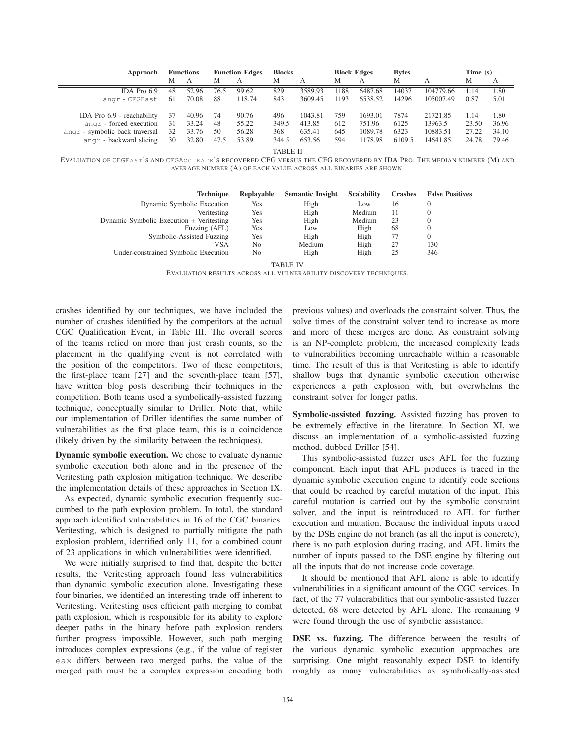| Approach                       |    | <b>Functions</b> |      | <b>Function Edges</b> | <b>Blocks</b> |         | <b>Block Edges</b> |         | <b>Bytes</b> |           | Time (s) |       |
|--------------------------------|----|------------------|------|-----------------------|---------------|---------|--------------------|---------|--------------|-----------|----------|-------|
|                                | М  | A                | М    | А                     | М             |         | М                  |         | М            |           | М        | А     |
| IDA Pro $6.9$                  | 48 | 52.96            | 76.5 | 99.62                 | 829           | 3589.93 | 188                | 6487.68 | 14037        | 104779.66 | l.14     | 1.80  |
| angr - CFGFast                 | 61 | 70.08            | 88   | 118.74                | 843           | 3609.45 | 193                | 6538.52 | 14296        | 105007.49 | 0.87     | 5.01  |
|                                |    |                  |      |                       |               |         |                    |         |              |           |          |       |
| IDA Pro 6.9 - reachability     | 37 | 40.96            | 74   | 90.76                 | 496           | 1043.81 | 759                | 1693.01 | 7874         | 21721.85  | 1.14     | 1.80  |
| angr - forced execution        | 31 | 33.24            | 48   | 55.22                 | 349.5         | 413.85  | 612                | 751.96  | 6125         | 13963.5   | 23.50    | 36.96 |
| angr - symbolic back traversal | 32 | 33.76            | 50   | 56.28                 | 368           | 635.41  | 645                | 1089.78 | 6323         | 10883.51  | 27.22    | 34.10 |
| angr - backward slicing        | 30 | 32.80            | 47.5 | 53.89                 | 344.5         | 653.56  | 594                | 1178.98 | 6109.5       | 14641.85  | 24.78    | 79.46 |

TABLE II

EVALUATION OF CFGFAST'S AND CFGACCURATE'S RECOVERED CFG VERSUS THE CFG RECOVERED BY IDA PRO. THE MEDIAN NUMBER (M) AND AVERAGE NUMBER (A) OF EACH VALUE ACROSS ALL BINARIES ARE SHOWN.

| <b>Technique</b>                         | Replayable     | <b>Semantic Insight</b> | <b>Scalability</b> | <b>Crashes</b> | <b>False Positives</b> |
|------------------------------------------|----------------|-------------------------|--------------------|----------------|------------------------|
| Dynamic Symbolic Execution               | Yes            | High                    | Low                | 16             |                        |
| Veritesting                              | Yes            | High                    | Medium             | 11             | 0                      |
| Dynamic Symbolic Execution + Veritesting | Yes            | High                    | Medium             | 23             | $\Omega$               |
| Fuzzing (AFL)                            | Yes            | Low                     | High               | 68             | 0                      |
| Symbolic-Assisted Fuzzing                | Yes            | High                    | High               | 77             | $\Omega$               |
| VSA                                      | N <sub>0</sub> | Medium                  | High               | 27             | 130                    |
| Under-constrained Symbolic Execution     | N <sub>o</sub> | High                    | High               | 25             | 346                    |

TABLE IV

EVALUATION RESULTS ACROSS ALL VULNERABILITY DISCOVERY TECHNIQUES.

crashes identified by our techniques, we have included the number of crashes identified by the competitors at the actual CGC Qualification Event, in Table III. The overall scores of the teams relied on more than just crash counts, so the placement in the qualifying event is not correlated with the position of the competitors. Two of these competitors, the first-place team [27] and the seventh-place team [57], have written blog posts describing their techniques in the competition. Both teams used a symbolically-assisted fuzzing technique, conceptually similar to Driller. Note that, while our implementation of Driller identifies the same number of vulnerabilities as the first place team, this is a coincidence (likely driven by the similarity between the techniques).

Dynamic symbolic execution. We chose to evaluate dynamic symbolic execution both alone and in the presence of the Veritesting path explosion mitigation technique. We describe the implementation details of these approaches in Section IX.

As expected, dynamic symbolic execution frequently succumbed to the path explosion problem. In total, the standard approach identified vulnerabilities in 16 of the CGC binaries. Veritesting, which is designed to partially mitigate the path explosion problem, identified only 11, for a combined count of 23 applications in which vulnerabilities were identified.

We were initially surprised to find that, despite the better results, the Veritesting approach found less vulnerabilities than dynamic symbolic execution alone. Investigating these four binaries, we identified an interesting trade-off inherent to Veritesting. Veritesting uses efficient path merging to combat path explosion, which is responsible for its ability to explore deeper paths in the binary before path explosion renders further progress impossible. However, such path merging introduces complex expressions (e.g., if the value of register eax differs between two merged paths, the value of the merged path must be a complex expression encoding both

previous values) and overloads the constraint solver. Thus, the solve times of the constraint solver tend to increase as more and more of these merges are done. As constraint solving is an NP-complete problem, the increased complexity leads to vulnerabilities becoming unreachable within a reasonable time. The result of this is that Veritesting is able to identify shallow bugs that dynamic symbolic execution otherwise experiences a path explosion with, but overwhelms the constraint solver for longer paths.

Symbolic-assisted fuzzing. Assisted fuzzing has proven to be extremely effective in the literature. In Section XI, we discuss an implementation of a symbolic-assisted fuzzing method, dubbed Driller [54].

This symbolic-assisted fuzzer uses AFL for the fuzzing component. Each input that AFL produces is traced in the dynamic symbolic execution engine to identify code sections that could be reached by careful mutation of the input. This careful mutation is carried out by the symbolic constraint solver, and the input is reintroduced to AFL for further execution and mutation. Because the individual inputs traced by the DSE engine do not branch (as all the input is concrete), there is no path explosion during tracing, and AFL limits the number of inputs passed to the DSE engine by filtering out all the inputs that do not increase code coverage.

It should be mentioned that AFL alone is able to identify vulnerabilities in a significant amount of the CGC services. In fact, of the 77 vulnerabilities that our symbolic-assisted fuzzer detected, 68 were detected by AFL alone. The remaining 9 were found through the use of symbolic assistance.

DSE vs. fuzzing. The difference between the results of the various dynamic symbolic execution approaches are surprising. One might reasonably expect DSE to identify roughly as many vulnerabilities as symbolically-assisted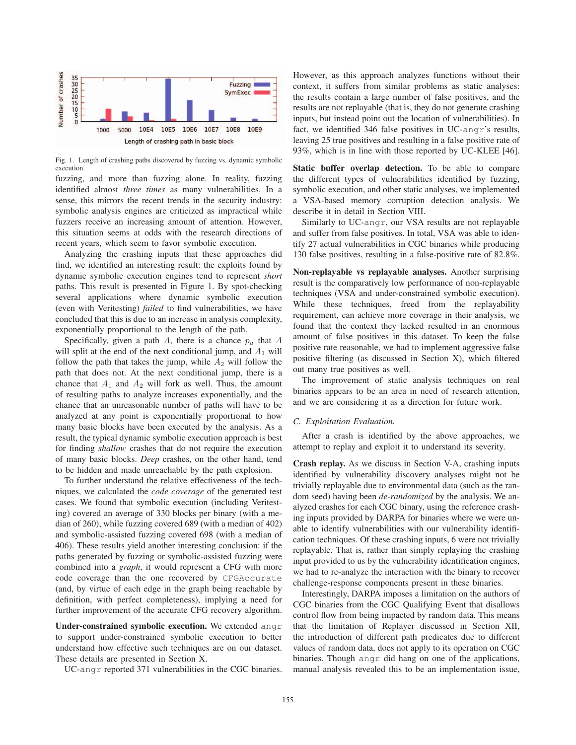

Fig. 1. Length of crashing paths discovered by fuzzing vs. dynamic symbolic execution.

fuzzing, and more than fuzzing alone. In reality, fuzzing identified almost *three times* as many vulnerabilities. In a sense, this mirrors the recent trends in the security industry: symbolic analysis engines are criticized as impractical while fuzzers receive an increasing amount of attention. However, this situation seems at odds with the research directions of recent years, which seem to favor symbolic execution.

Analyzing the crashing inputs that these approaches did find, we identified an interesting result: the exploits found by dynamic symbolic execution engines tend to represent *short* paths. This result is presented in Figure 1. By spot-checking several applications where dynamic symbolic execution (even with Veritesting) *failed* to find vulnerabilities, we have concluded that this is due to an increase in analysis complexity, exponentially proportional to the length of the path.

Specifically, given a path  $A$ , there is a chance  $p_a$  that  $A$ will split at the end of the next conditional jump, and  $A_1$  will follow the path that takes the jump, while  $A_2$  will follow the path that does not. At the next conditional jump, there is a chance that  $A_1$  and  $A_2$  will fork as well. Thus, the amount of resulting paths to analyze increases exponentially, and the chance that an unreasonable number of paths will have to be analyzed at any point is exponentially proportional to how many basic blocks have been executed by the analysis. As a result, the typical dynamic symbolic execution approach is best for finding *shallow* crashes that do not require the execution of many basic blocks. *Deep* crashes, on the other hand, tend to be hidden and made unreachable by the path explosion.

To further understand the relative effectiveness of the techniques, we calculated the *code coverage* of the generated test cases. We found that symbolic execution (including Veritesting) covered an average of 330 blocks per binary (with a median of 260), while fuzzing covered 689 (with a median of 402) and symbolic-assisted fuzzing covered 698 (with a median of 406). These results yield another interesting conclusion: if the paths generated by fuzzing or symbolic-assisted fuzzing were combined into a *graph*, it would represent a CFG with more code coverage than the one recovered by CFGAccurate (and, by virtue of each edge in the graph being reachable by definition, with perfect completeness), implying a need for further improvement of the accurate CFG recovery algorithm.

Under-constrained symbolic execution. We extended angr to support under-constrained symbolic execution to better understand how effective such techniques are on our dataset. These details are presented in Section X.

UC-angr reported 371 vulnerabilities in the CGC binaries.

However, as this approach analyzes functions without their context, it suffers from similar problems as static analyses: the results contain a large number of false positives, and the results are not replayable (that is, they do not generate crashing inputs, but instead point out the location of vulnerabilities). In fact, we identified 346 false positives in UC-angr's results, leaving 25 true positives and resulting in a false positive rate of 93%, which is in line with those reported by UC-KLEE [46].

Static buffer overlap detection. To be able to compare the different types of vulnerabilities identified by fuzzing, symbolic execution, and other static analyses, we implemented a VSA-based memory corruption detection analysis. We describe it in detail in Section VIII.

Similarly to UC-angr, our VSA results are not replayable and suffer from false positives. In total, VSA was able to identify 27 actual vulnerabilities in CGC binaries while producing 130 false positives, resulting in a false-positive rate of 82.8%.

Non-replayable vs replayable analyses. Another surprising result is the comparatively low performance of non-replayable techniques (VSA and under-constrained symbolic execution). While these techniques, freed from the replayability requirement, can achieve more coverage in their analysis, we found that the context they lacked resulted in an enormous amount of false positives in this dataset. To keep the false positive rate reasonable, we had to implement aggressive false positive filtering (as discussed in Section X), which filtered out many true positives as well.

The improvement of static analysis techniques on real binaries appears to be an area in need of research attention, and we are considering it as a direction for future work.

#### *C. Exploitation Evaluation.*

After a crash is identified by the above approaches, we attempt to replay and exploit it to understand its severity.

Crash replay. As we discuss in Section V-A, crashing inputs identified by vulnerability discovery analyses might not be trivially replayable due to environmental data (such as the random seed) having been *de-randomized* by the analysis. We analyzed crashes for each CGC binary, using the reference crashing inputs provided by DARPA for binaries where we were unable to identify vulnerabilities with our vulnerability identification techniques. Of these crashing inputs, 6 were not trivially replayable. That is, rather than simply replaying the crashing input provided to us by the vulnerability identification engines, we had to re-analyze the interaction with the binary to recover challenge-response components present in these binaries.

Interestingly, DARPA imposes a limitation on the authors of CGC binaries from the CGC Qualifying Event that disallows control flow from being impacted by random data. This means that the limitation of Replayer discussed in Section XII, the introduction of different path predicates due to different values of random data, does not apply to its operation on CGC binaries. Though angr did hang on one of the applications, manual analysis revealed this to be an implementation issue,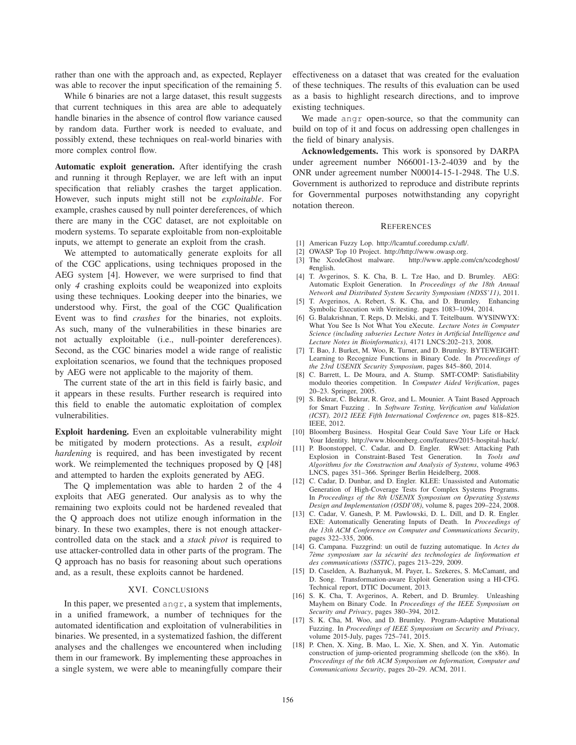rather than one with the approach and, as expected, Replayer was able to recover the input specification of the remaining 5.

While 6 binaries are not a large dataset, this result suggests that current techniques in this area are able to adequately handle binaries in the absence of control flow variance caused by random data. Further work is needed to evaluate, and possibly extend, these techniques on real-world binaries with more complex control flow.

Automatic exploit generation. After identifying the crash and running it through Replayer, we are left with an input specification that reliably crashes the target application. However, such inputs might still not be *exploitable*. For example, crashes caused by null pointer dereferences, of which there are many in the CGC dataset, are not exploitable on modern systems. To separate exploitable from non-exploitable inputs, we attempt to generate an exploit from the crash.

We attempted to automatically generate exploits for all of the CGC applications, using techniques proposed in the AEG system [4]. However, we were surprised to find that only *4* crashing exploits could be weaponized into exploits using these techniques. Looking deeper into the binaries, we understood why. First, the goal of the CGC Qualification Event was to find *crashes* for the binaries, not exploits. As such, many of the vulnerabilities in these binaries are not actually exploitable (i.e., null-pointer dereferences). Second, as the CGC binaries model a wide range of realistic exploitation scenarios, we found that the techniques proposed by AEG were not applicable to the majority of them.

The current state of the art in this field is fairly basic, and it appears in these results. Further research is required into this field to enable the automatic exploitation of complex vulnerabilities.

Exploit hardening. Even an exploitable vulnerability might be mitigated by modern protections. As a result, *exploit hardening* is required, and has been investigated by recent work. We reimplemented the techniques proposed by Q [48] and attempted to harden the exploits generated by AEG.

The Q implementation was able to harden 2 of the 4 exploits that AEG generated. Our analysis as to why the remaining two exploits could not be hardened revealed that the Q approach does not utilize enough information in the binary. In these two examples, there is not enough attackercontrolled data on the stack and a *stack pivot* is required to use attacker-controlled data in other parts of the program. The Q approach has no basis for reasoning about such operations and, as a result, these exploits cannot be hardened.

# XVI. CONCLUSIONS

In this paper, we presented angr, a system that implements, in a unified framework, a number of techniques for the automated identification and exploitation of vulnerabilities in binaries. We presented, in a systematized fashion, the different analyses and the challenges we encountered when including them in our framework. By implementing these approaches in a single system, we were able to meaningfully compare their

effectiveness on a dataset that was created for the evaluation of these techniques. The results of this evaluation can be used as a basis to highlight research directions, and to improve existing techniques.

We made angr open-source, so that the community can build on top of it and focus on addressing open challenges in the field of binary analysis.

Acknowledgements. This work is sponsored by DARPA under agreement number N66001-13-2-4039 and by the ONR under agreement number N00014-15-1-2948. The U.S. Government is authorized to reproduce and distribute reprints for Governmental purposes notwithstanding any copyright notation thereon.

#### **REFERENCES**

- [1] American Fuzzy Lop. http://lcamtuf.coredump.cx/afl/.
- [2] OWASP Top 10 Project. http://http://www.owasp.org.
- http://www.apple.com/cn/xcodeghost/ #english.
- [4] T. Avgerinos, S. K. Cha, B. L. Tze Hao, and D. Brumley. AEG: Automatic Exploit Generation. In *Proceedings of the 18th Annual Network and Distributed System Security Symposium (NDSS'11)*, 2011.
- [5] T. Avgerinos, A. Rebert, S. K. Cha, and D. Brumley. Enhancing Symbolic Execution with Veritesting. pages 1083–1094, 2014.
- [6] G. Balakrishnan, T. Reps, D. Melski, and T. Teitelbaum. WYSINWYX: What You See Is Not What You eXecute. *Lecture Notes in Computer Science (including subseries Lecture Notes in Artificial Intelligence and Lecture Notes in Bioinformatics)*, 4171 LNCS:202–213, 2008.
- [7] T. Bao, J. Burket, M. Woo, R. Turner, and D. Brumley. BYTEWEIGHT: Learning to Recognize Functions in Binary Code. In *Proceedings of the 23rd USENIX Security Symposium*, pages 845–860, 2014.
- [8] C. Barrett, L. De Moura, and A. Stump. SMT-COMP: Satisfiability modulo theories competition. In *Computer Aided Verification*, pages 20–23. Springer, 2005.
- [9] S. Bekrar, C. Bekrar, R. Groz, and L. Mounier. A Taint Based Approach for Smart Fuzzing . In *Software Testing, Verification and Validation (ICST), 2012 IEEE Fifth International Conference on*, pages 818–825. IEEE, 2012.
- [10] Bloomberg Business. Hospital Gear Could Save Your Life or Hack Your Identity. http://www.bloomberg.com/features/2015-hospital-hack/.
- [11] P. Boonstoppel, C. Cadar, and D. Engler. RWset: Attacking Path Explosion in Constraint-Based Test Generation. In *Tools and Algorithms for the Construction and Analysis of Systems*, volume 4963 LNCS, pages 351–366. Springer Berlin Heidelberg, 2008.
- [12] C. Cadar, D. Dunbar, and D. Engler. KLEE: Unassisted and Automatic Generation of High-Coverage Tests for Complex Systems Programs. In *Proceedings of the 8th USENIX Symposium on Operating Systems Design and Implementation (OSDI'08)*, volume 8, pages 209–224, 2008.
- [13] C. Cadar, V. Ganesh, P. M. Pawlowski, D. L. Dill, and D. R. Engler. EXE: Automatically Generating Inputs of Death. In *Proceedings of the 13th ACM Conference on Computer and Communications Security*, pages 322–335, 2006.
- [14] G. Campana. Fuzzgrind: un outil de fuzzing automatique. In *Actes du 7eme symposium sur la s ` ecurit ´ e des technologies de linformation et ´ des communications (SSTIC)*, pages 213–229, 2009.
- [15] D. Caselden, A. Bazhanyuk, M. Payer, L. Szekeres, S. McCamant, and D. Song. Transformation-aware Exploit Generation using a HI-CFG. Technical report, DTIC Document, 2013.
- [16] S. K. Cha, T. Avgerinos, A. Rebert, and D. Brumley. Unleashing Mayhem on Binary Code. In *Proceedings of the IEEE Symposium on Security and Privacy*, pages 380–394, 2012.
- [17] S. K. Cha, M. Woo, and D. Brumley. Program-Adaptive Mutational Fuzzing. In *Proceedings of IEEE Symposium on Security and Privacy*, volume 2015-July, pages 725–741, 2015.
- [18] P. Chen, X. Xing, B. Mao, L. Xie, X. Shen, and X. Yin. Automatic construction of jump-oriented programming shellcode (on the x86). In *Proceedings of the 6th ACM Symposium on Information, Computer and Communications Security*, pages 20–29. ACM, 2011.